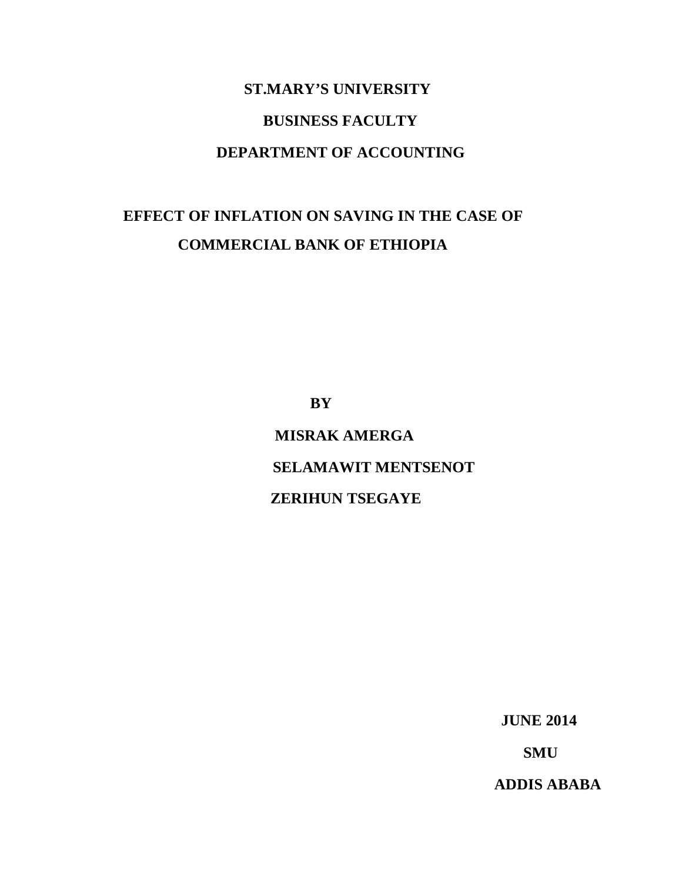# **ST.MARY'S UNIVERSITY BUSINESS FACULTY DEPARTMENT OF ACCOUNTING**

## **EFFECT OF INFLATION ON SAVING IN THE CASE OF COMMERCIAL BANK OF ETHIOPIA**

 **BY**

 **MISRAK AMERGA SELAMAWIT MENTSENOT ZERIHUN TSEGAYE**

 **JUNE 2014**

**SMU**

**ADDIS ABABA**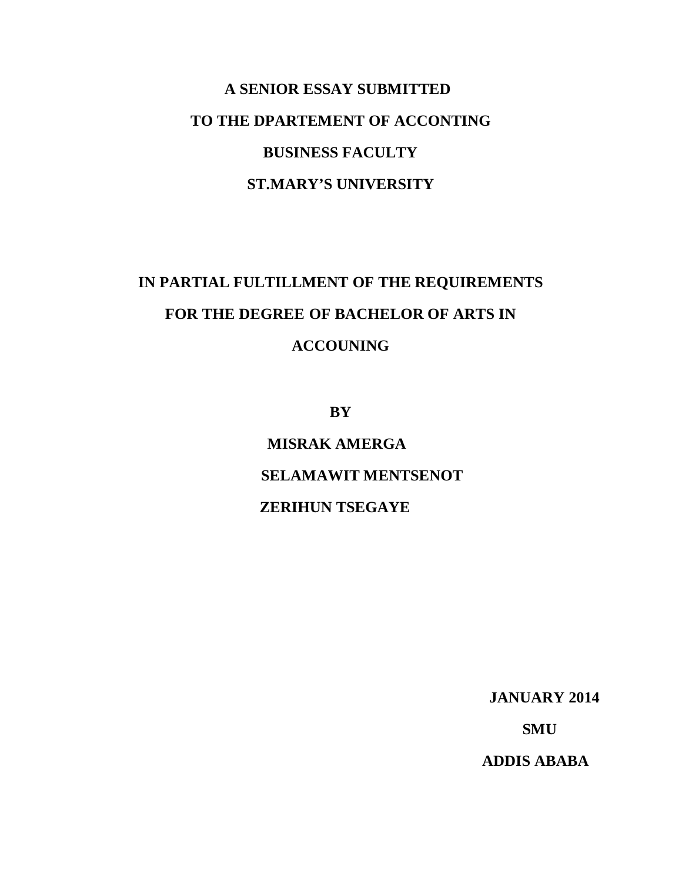# **A SENIOR ESSAY SUBMITTED TO THE DPARTEMENT OF ACCONTING BUSINESS FACULTY ST.MARY'S UNIVERSITY**

# **IN PARTIAL FULTILLMENT OF THE REQUIREMENTS FOR THE DEGREE OF BACHELOR OF ARTS IN ACCOUNING**

**BY**

 **MISRAK AMERGA SELAMAWIT MENTSENOT ZERIHUN TSEGAYE**

 **JANUARY 2014**

 **SMU**

 **ADDIS ABABA**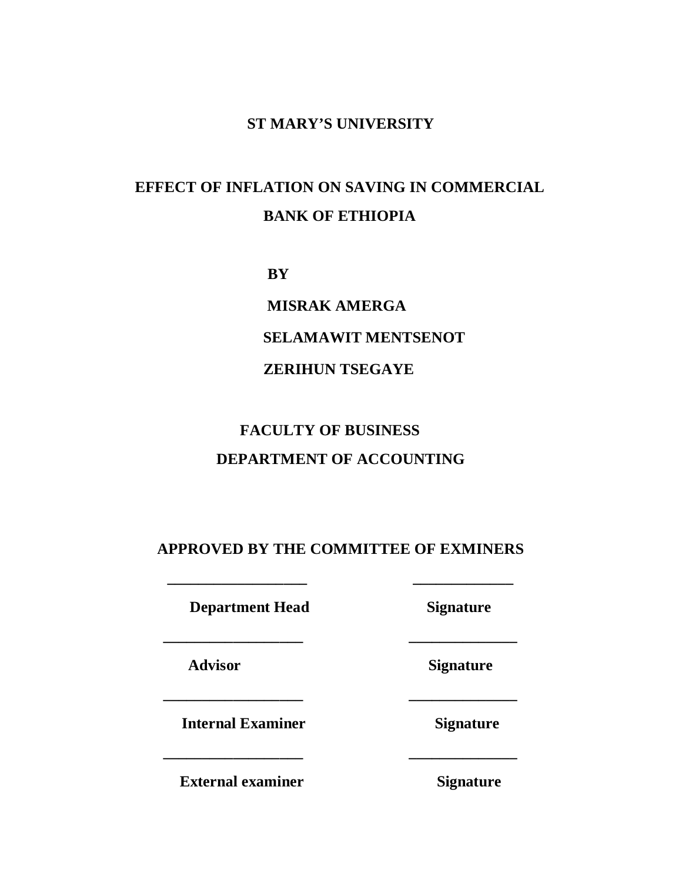#### **ST MARY'S UNIVERSITY**

## **EFFECT OF INFLATION ON SAVING IN COMMERCIAL BANK OF ETHIOPIA**

 **BY**

 **MISRAK AMERGA SELAMAWIT MENTSENOT ZERIHUN TSEGAYE**

## **FACULTY OF BUSINESS DEPARTMENT OF ACCOUNTING**

#### **APPROVED BY THE COMMITTEE OF EXMINERS**

**\_\_\_\_\_\_\_\_\_\_\_\_\_\_\_\_\_\_ \_\_\_\_\_\_\_\_\_\_\_\_\_**

**\_\_\_\_\_\_\_\_\_\_\_\_\_\_\_\_\_\_ \_\_\_\_\_\_\_\_\_\_\_\_\_\_**

**\_\_\_\_\_\_\_\_\_\_\_\_\_\_\_\_\_\_ \_\_\_\_\_\_\_\_\_\_\_\_\_\_**

**\_\_\_\_\_\_\_\_\_\_\_\_\_\_\_\_\_\_ \_\_\_\_\_\_\_\_\_\_\_\_\_\_**

**Department Head Signature** 

**Advisor Signature**

**Internal Examiner Signature** 

**External examiner** Signature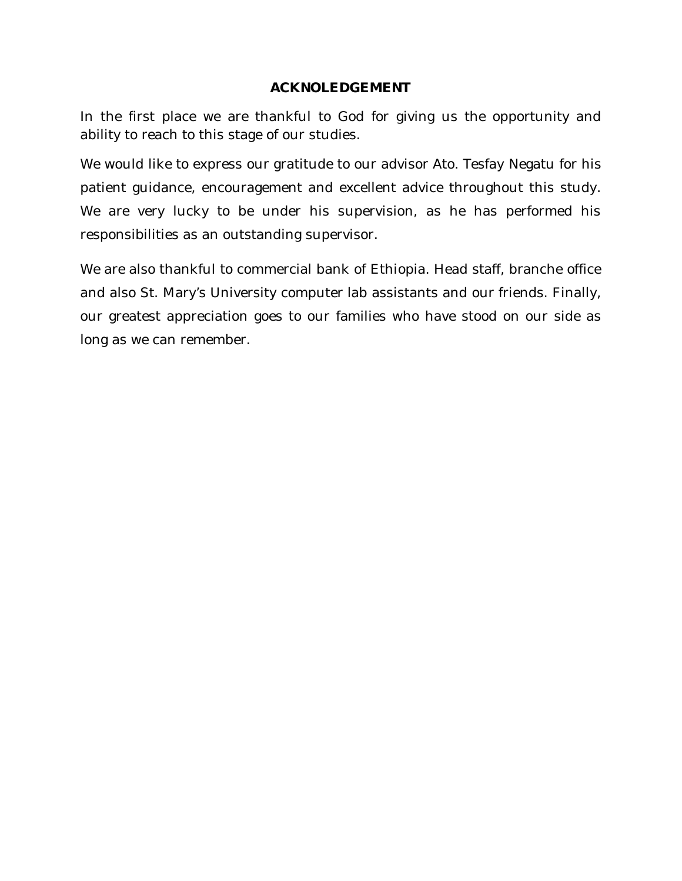#### **ACKNOLEDGEMENT**

In the first place we are thankful to God for giving us the opportunity and ability to reach to this stage of our studies.

We would like to express our gratitude to our advisor Ato. Tesfay Negatu for his patient guidance, encouragement and excellent advice throughout this study. We are very lucky to be under his supervision, as he has performed his responsibilities as an outstanding supervisor.

We are also thankful to commercial bank of Ethiopia. Head staff, branche office and also St. Mary's University computer lab assistants and our friends. Finally, our greatest appreciation goes to our families who have stood on our side as long as we can remember.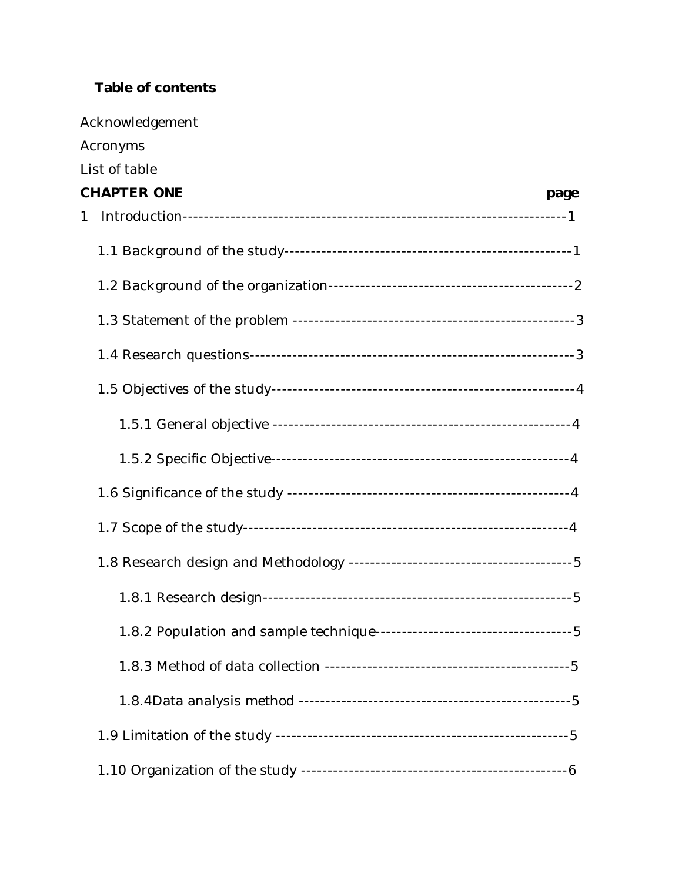### **Table of contents**

| Acknowledgement    |      |
|--------------------|------|
| Acronyms           |      |
| List of table      |      |
| <b>CHAPTER ONE</b> | page |
| 1                  |      |
|                    |      |
|                    |      |
|                    |      |
|                    |      |
|                    |      |
|                    |      |
|                    |      |
|                    |      |
|                    |      |
|                    |      |
|                    |      |
|                    |      |
|                    |      |
|                    |      |
|                    |      |
|                    |      |
|                    |      |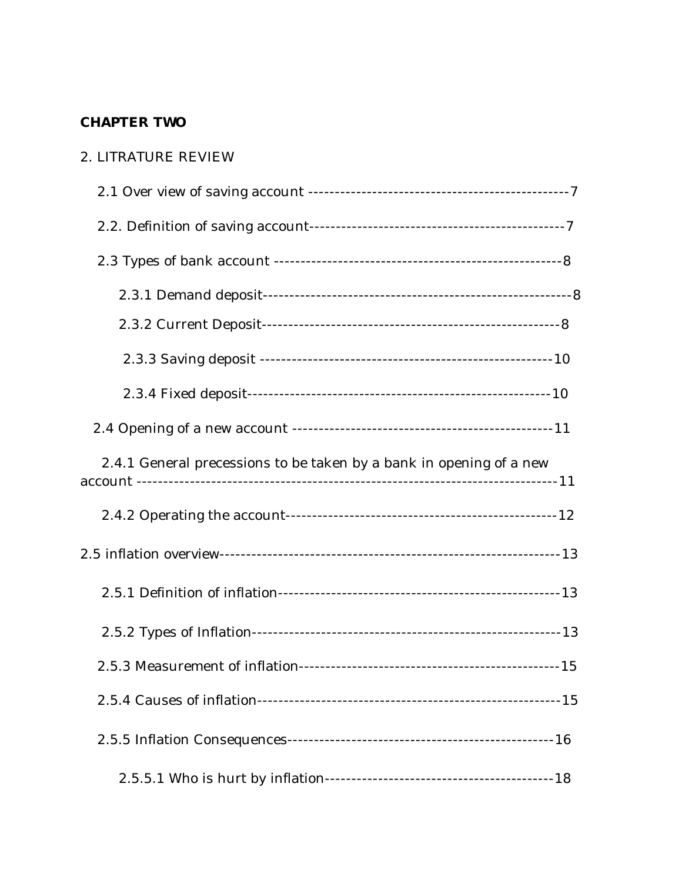### **CHAPTER TWO**

#### 2. LITRATURE REVIEW

| 2.4.1 General precessions to be taken by a bank in opening of a new |  |
|---------------------------------------------------------------------|--|
|                                                                     |  |
|                                                                     |  |
|                                                                     |  |
|                                                                     |  |
|                                                                     |  |
|                                                                     |  |
|                                                                     |  |
|                                                                     |  |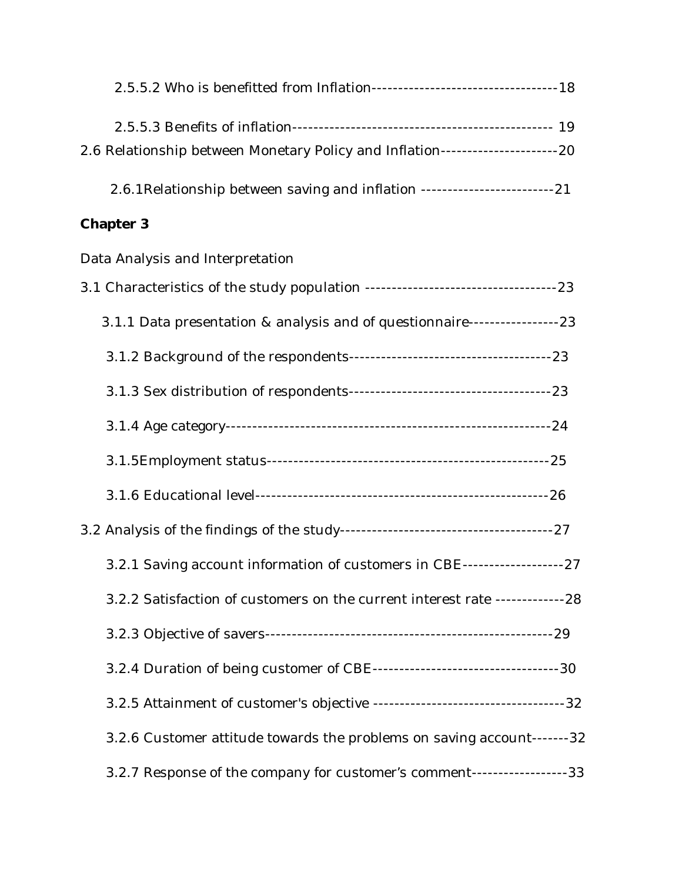| 2.6 Relationship between Monetary Policy and Inflation------------------------20 |  |
|----------------------------------------------------------------------------------|--|
| 2.6.1 Relationship between saving and inflation -------------------------------- |  |
| Chapter 3                                                                        |  |
| Data Analysis and Interpretation                                                 |  |
|                                                                                  |  |
| 3.1.1 Data presentation & analysis and of questionnaire------------------23      |  |
|                                                                                  |  |
|                                                                                  |  |
|                                                                                  |  |
|                                                                                  |  |
|                                                                                  |  |
|                                                                                  |  |
| 3.2.1 Saving account information of customers in CBE---------------------27      |  |
| 3.2.2 Satisfaction of customers on the current interest rate --------------28    |  |
|                                                                                  |  |
|                                                                                  |  |
|                                                                                  |  |
| 3.2.6 Customer attitude towards the problems on saving account-------32          |  |
| 3.2.7 Response of the company for customer's comment-------------------33        |  |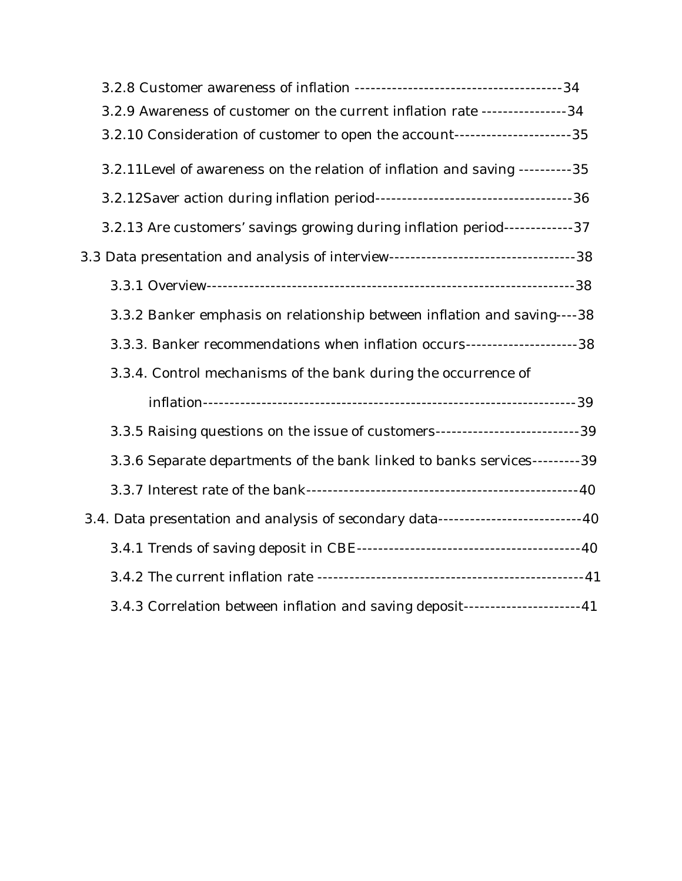| 3.2.9 Awareness of customer on the current inflation rate ----------------34         |  |
|--------------------------------------------------------------------------------------|--|
| 3.2.10 Consideration of customer to open the account-------------------------35      |  |
| 3.2.11 Level of awareness on the relation of inflation and saving ---------- 35      |  |
|                                                                                      |  |
| 3.2.13 Are customers' savings growing during inflation period-------------37         |  |
| 3.3 Data presentation and analysis of interview-----------------------------------38 |  |
|                                                                                      |  |
| 3.3.2 Banker emphasis on relationship between inflation and saving----38             |  |
| 3.3.3. Banker recommendations when inflation occurs----------------------38          |  |
| 3.3.4. Control mechanisms of the bank during the occurrence of                       |  |
|                                                                                      |  |
| 3.3.5 Raising questions on the issue of customers-----------------------------39     |  |
| 3.3.6 Separate departments of the bank linked to banks services--------- 39          |  |
|                                                                                      |  |
| 3.4. Data presentation and analysis of secondary data-------------------------40     |  |
|                                                                                      |  |
|                                                                                      |  |
| 3.4.3 Correlation between inflation and saving deposit---------------------41        |  |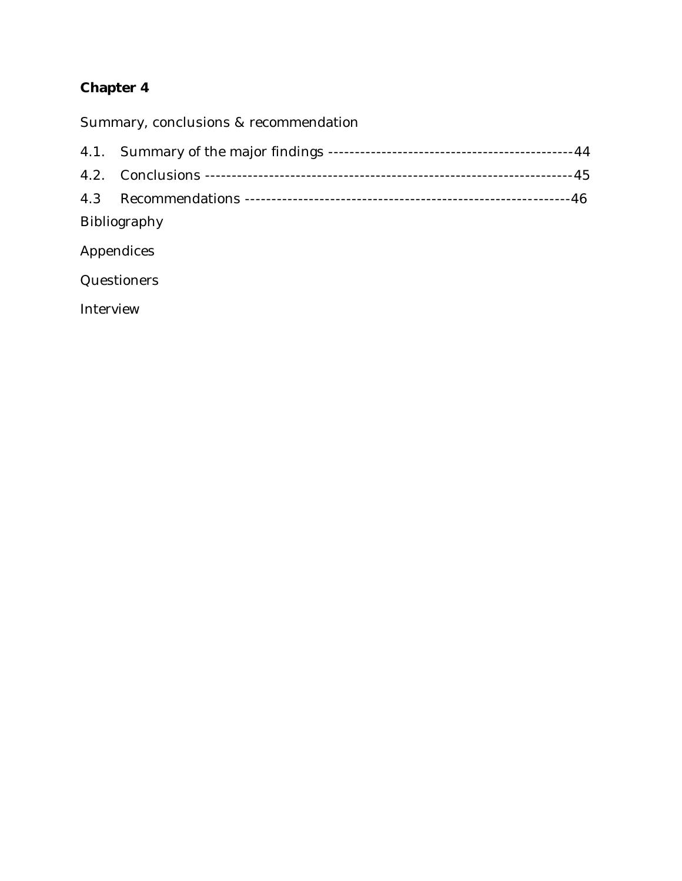### **Chapter 4**

Summary, conclusions & recommendation

| Bibliography |  |
|--------------|--|

Appendices

**Questioners** 

Interview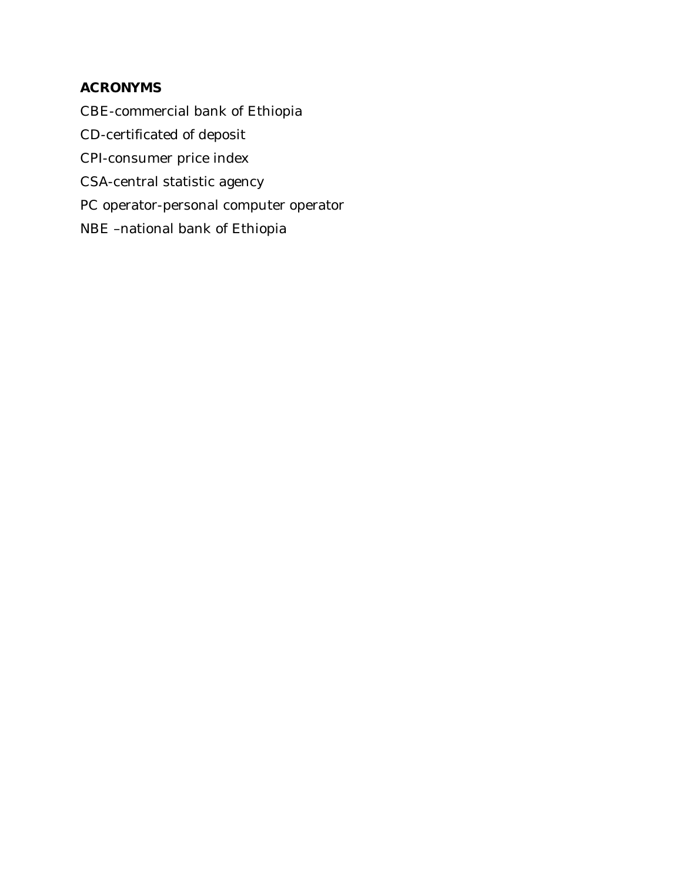### **ACRONYMS**

CBE-commercial bank of Ethiopia

CD-certificated of deposit

CPI-consumer price index

CSA-central statistic agency

PC operator-personal computer operator

NBE –national bank of Ethiopia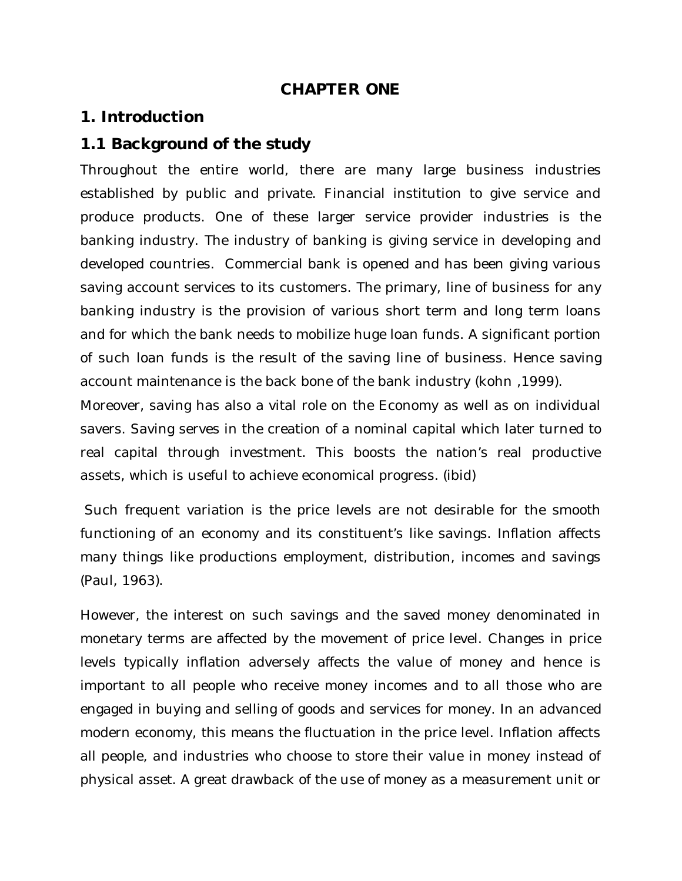### **CHAPTER ONE**

### **1. Introduction**

### **1.1 Background of the study**

Throughout the entire world, there are many large business industries established by public and private. Financial institution to give service and produce products. One of these larger service provider industries is the banking industry. The industry of banking is giving service in developing and developed countries. Commercial bank is opened and has been giving various saving account services to its customers. The primary, line of business for any banking industry is the provision of various short term and long term loans and for which the bank needs to mobilize huge loan funds. A significant portion of such loan funds is the result of the saving line of business. Hence saving account maintenance is the back bone of the bank industry (kohn ,1999).

Moreover, saving has also a vital role on the Economy as well as on individual savers. Saving serves in the creation of a nominal capital which later turned to real capital through investment. This boosts the nation's real productive assets, which is useful to achieve economical progress. (ibid)

Such frequent variation is the price levels are not desirable for the smooth functioning of an economy and its constituent's like savings. Inflation affects many things like productions employment, distribution, incomes and savings (Paul, 1963).

However, the interest on such savings and the saved money denominated in monetary terms are affected by the movement of price level. Changes in price levels typically inflation adversely affects the value of money and hence is important to all people who receive money incomes and to all those who are engaged in buying and selling of goods and services for money. In an advanced modern economy, this means the fluctuation in the price level. Inflation affects all people, and industries who choose to store their value in money instead of physical asset. A great drawback of the use of money as a measurement unit or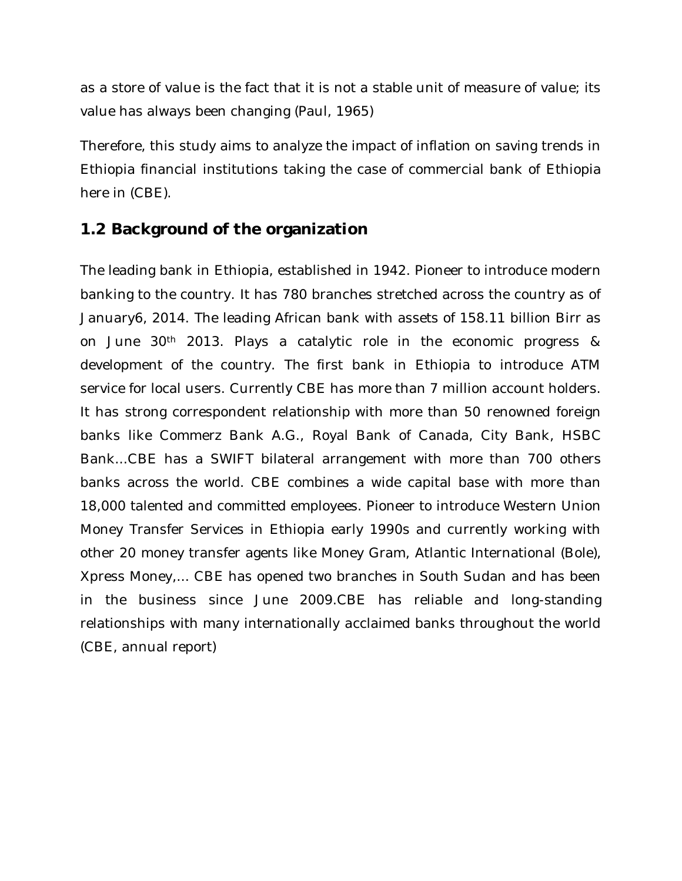as a store of value is the fact that it is not a stable unit of measure of value; its value has always been changing (Paul, 1965)

Therefore, this study aims to analyze the impact of inflation on saving trends in Ethiopia financial institutions taking the case of commercial bank of Ethiopia here in (CBE).

### **1.2 Background of the organization**

The leading bank in Ethiopia, established in 1942. Pioneer to introduce modern banking to the country. It has 780 branches stretched across the country as of January6, 2014. The leading African bank with assets of 158.11 billion Birr as on June 30th 2013. Plays a catalytic role in the economic progress & development of the country. The first bank in Ethiopia to introduce ATM service for local users. Currently CBE has more than 7 million account holders. It has strong correspondent relationship with more than 50 renowned foreign banks like Commerz Bank A.G., Royal Bank of Canada, City Bank, HSBC Bank...CBE has a SWIFT bilateral arrangement with more than 700 others banks across the world. CBE combines a wide capital base with more than 18,000 talented and committed employees. Pioneer to introduce Western Union Money Transfer Services in Ethiopia early 1990s and currently working with other 20 money transfer agents like Money Gram, Atlantic International (Bole), Xpress Money,... CBE has opened two branches in South Sudan and has been in the business since June 2009.CBE has reliable and long-standing relationships with many internationally acclaimed banks throughout the world (CBE, annual report)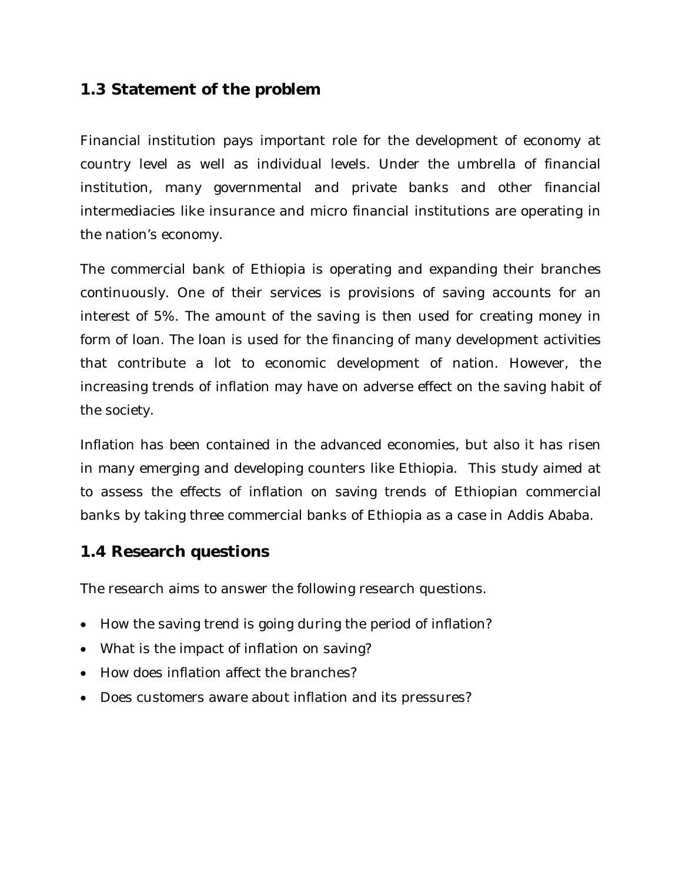### **1.3 Statement of the problem**

Financial institution pays important role for the development of economy at country level as well as individual levels. Under the umbrella of financial institution, many governmental and private banks and other financial intermediacies like insurance and micro financial institutions are operating in the nation's economy.

The commercial bank of Ethiopia is operating and expanding their branches continuously. One of their services is provisions of saving accounts for an interest of 5%. The amount of the saving is then used for creating money in form of loan. The loan is used for the financing of many development activities that contribute a lot to economic development of nation. However, the increasing trends of inflation may have on adverse effect on the saving habit of the society.

Inflation has been contained in the advanced economies, but also it has risen in many emerging and developing counters like Ethiopia. This study aimed at to assess the effects of inflation on saving trends of Ethiopian commercial banks by taking three commercial banks of Ethiopia as a case in Addis Ababa.

### **1.4 Research questions**

The research aims to answer the following research questions.

- How the saving trend is going during the period of inflation?
- What is the impact of inflation on saving?
- How does inflation affect the branches?
- Does customers aware about inflation and its pressures?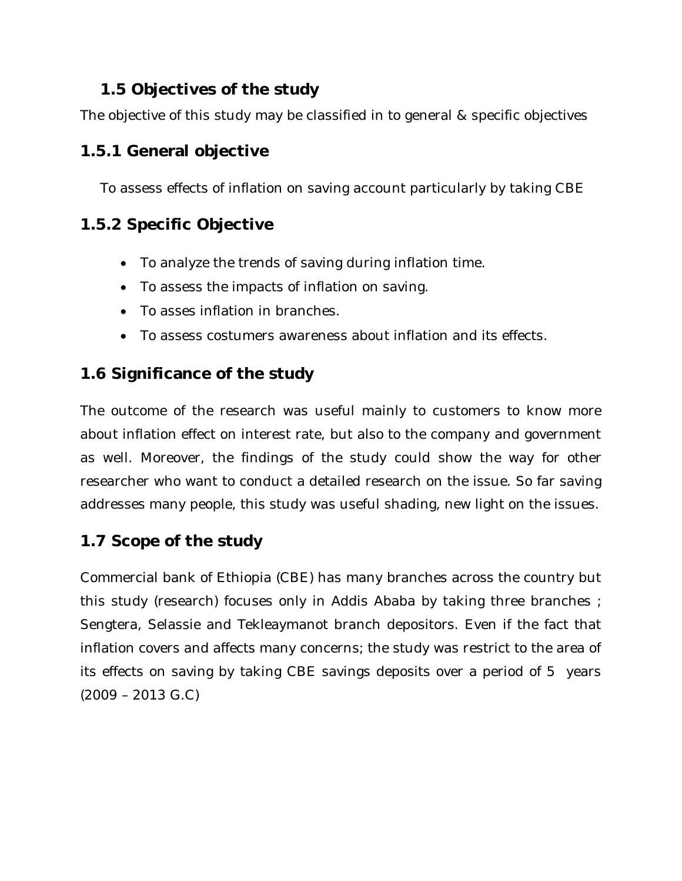### **1.5 Objectives of the study**

The objective of this study may be classified in to general & specific objectives

## **1.5.1 General objective**

To assess effects of inflation on saving account particularly by taking CBE

## **1.5.2 Specific Objective**

- To analyze the trends of saving during inflation time.
- To assess the impacts of inflation on saving.
- To asses inflation in branches.
- To assess costumers awareness about inflation and its effects.

## **1.6 Significance of the study**

The outcome of the research was useful mainly to customers to know more about inflation effect on interest rate, but also to the company and government as well. Moreover, the findings of the study could show the way for other researcher who want to conduct a detailed research on the issue. So far saving addresses many people, this study was useful shading, new light on the issues.

## **1.7 Scope of the study**

Commercial bank of Ethiopia (CBE) has many branches across the country but this study (research) focuses only in Addis Ababa by taking three branches ; Sengtera, Selassie and Tekleaymanot branch depositors. Even if the fact that inflation covers and affects many concerns; the study was restrict to the area of its effects on saving by taking CBE savings deposits over a period of 5 years (2009 – 2013 G.C)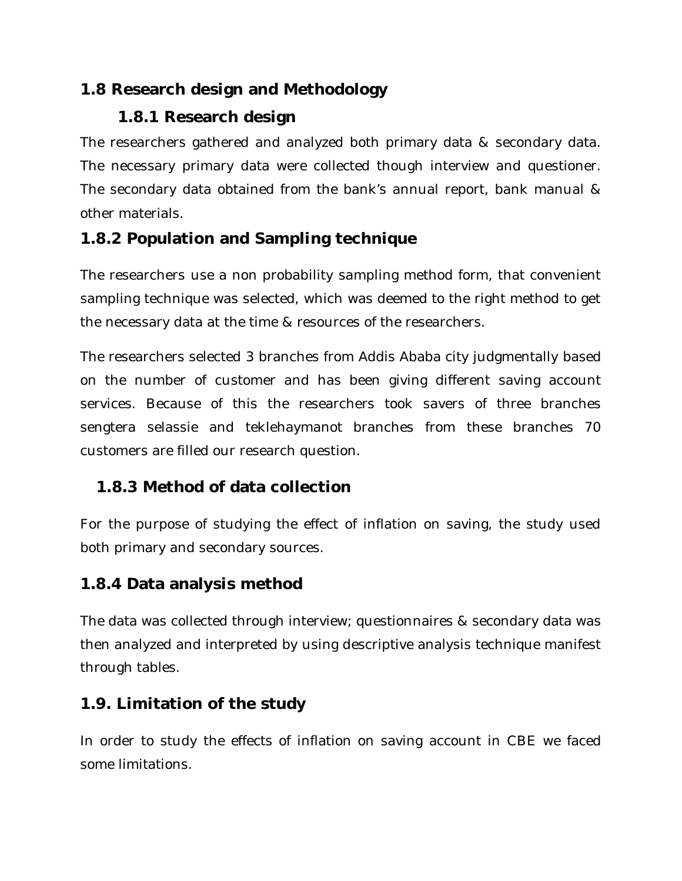### **1.8 Research design and Methodology**

## **1.8.1 Research design**

The researchers gathered and analyzed both primary data & secondary data. The necessary primary data were collected though interview and questioner. The secondary data obtained from the bank's annual report, bank manual & other materials.

## **1.8.2 Population and Sampling technique**

The researchers use a non probability sampling method form, that convenient sampling technique was selected, which was deemed to the right method to get the necessary data at the time & resources of the researchers.

The researchers selected 3 branches from Addis Ababa city judgmentally based on the number of customer and has been giving different saving account services. Because of this the researchers took savers of three branches sengtera selassie and teklehaymanot branches from these branches 70 customers are filled our research question.

## **1.8.3 Method of data collection**

For the purpose of studying the effect of inflation on saving, the study used both primary and secondary sources.

## **1.8.4 Data analysis method**

The data was collected through interview; questionnaires & secondary data was then analyzed and interpreted by using descriptive analysis technique manifest through tables.

## **1.9. Limitation of the study**

In order to study the effects of inflation on saving account in CBE we faced some limitations.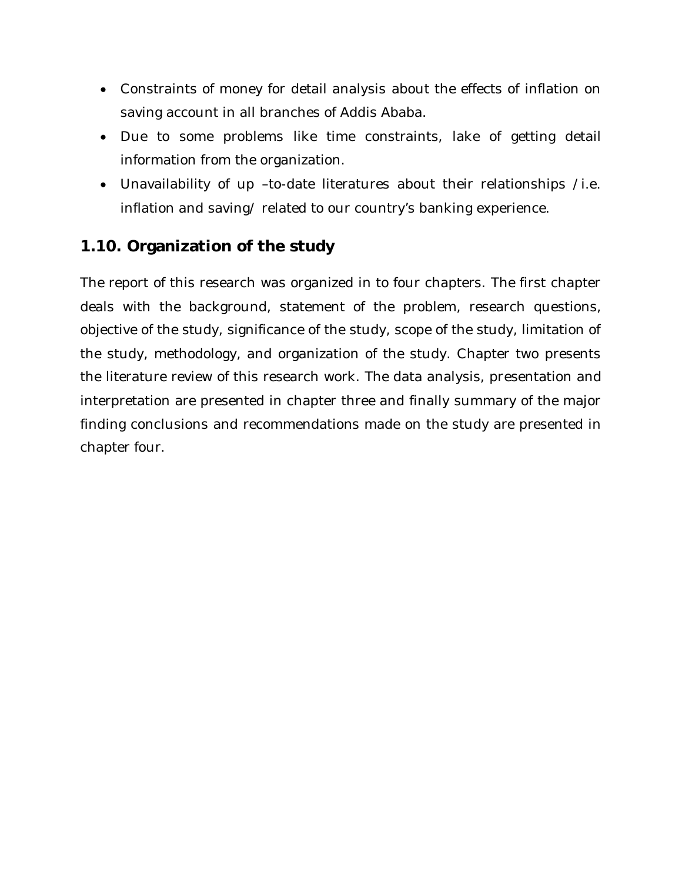- Constraints of money for detail analysis about the effects of inflation on saving account in all branches of Addis Ababa.
- Due to some problems like time constraints, lake of getting detail information from the organization.
- Unavailability of up –to-date literatures about their relationships /i.e. inflation and saving/ related to our country's banking experience.

### **1.10. Organization of the study**

The report of this research was organized in to four chapters. The first chapter deals with the background, statement of the problem, research questions, objective of the study, significance of the study, scope of the study, limitation of the study, methodology, and organization of the study. Chapter two presents the literature review of this research work. The data analysis, presentation and interpretation are presented in chapter three and finally summary of the major finding conclusions and recommendations made on the study are presented in chapter four.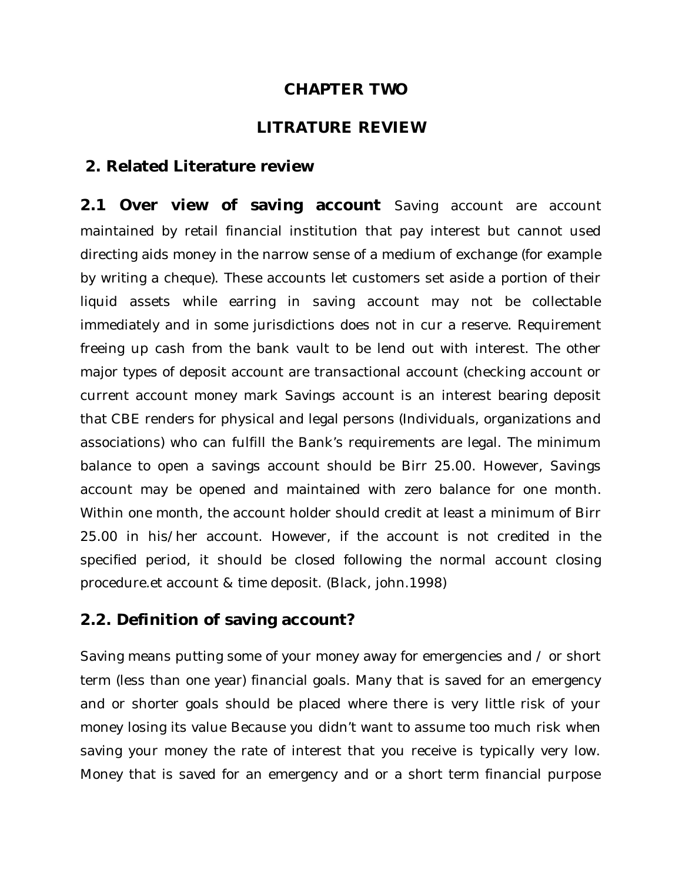### **CHAPTER TWO**

### **LITRATURE REVIEW**

### **2. Related Literature review**

2.1 Over view of saving account Saving account are account maintained by retail financial institution that pay interest but cannot used directing aids money in the narrow sense of a medium of exchange (for example by writing a cheque). These accounts let customers set aside a portion of their liquid assets while earring in saving account may not be collectable immediately and in some jurisdictions does not in cur a reserve. Requirement freeing up cash from the bank vault to be lend out with interest. The other major types of deposit account are transactional account (checking account or current account money mark Savings account is an interest bearing deposit that CBE renders for physical and legal persons (Individuals, organizations and associations) who can fulfill the Bank's requirements are legal. The minimum balance to open a savings account should be Birr 25.00. However, Savings account may be opened and maintained with zero balance for one month. Within one month, the account holder should credit at least a minimum of Birr 25.00 in his/her account. However, if the account is not credited in the specified period, it should be closed following the normal account closing procedure.et account & time deposit. (Black, john.1998)

### **2.2. Definition of saving account?**

Saving means putting some of your money away for emergencies and / or short term (less than one year) financial goals. Many that is saved for an emergency and or shorter goals should be placed where there is very little risk of your money losing its value Because you didn't want to assume too much risk when saving your money the rate of interest that you receive is typically very low. Money that is saved for an emergency and or a short term financial purpose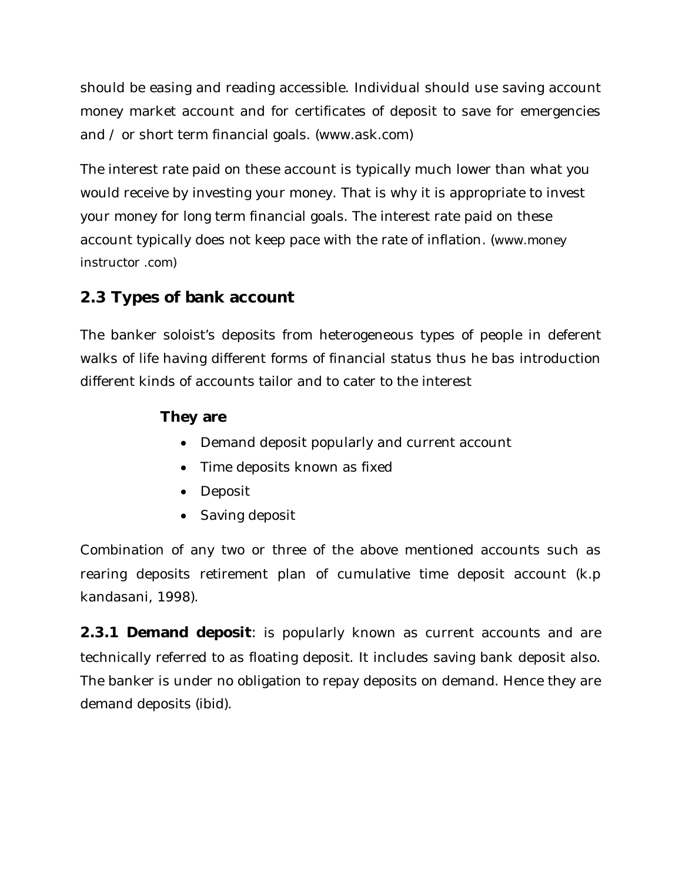should be easing and reading accessible. Individual should use saving account money market account and for certificates of deposit to save for emergencies and / or short term financial goals. (www.ask.com)

The interest rate paid on these account is typically much lower than what you would receive by investing your money. That is why it is appropriate to invest your money for long term financial goals. The interest rate paid on these account typically does not keep pace with the rate of inflation. (www.money instructor .com)

## **2.3 Types of bank account**

The banker soloist's deposits from heterogeneous types of people in deferent walks of life having different forms of financial status thus he bas introduction different kinds of accounts tailor and to cater to the interest

### **They are**

- Demand deposit popularly and current account
- Time deposits known as fixed
- Deposit
- Saving deposit

Combination of any two or three of the above mentioned accounts such as rearing deposits retirement plan of cumulative time deposit account (k.p kandasani, 1998).

**2.3.1 Demand deposit**: is popularly known as current accounts and are technically referred to as floating deposit. It includes saving bank deposit also. The banker is under no obligation to repay deposits on demand. Hence they are demand deposits (ibid).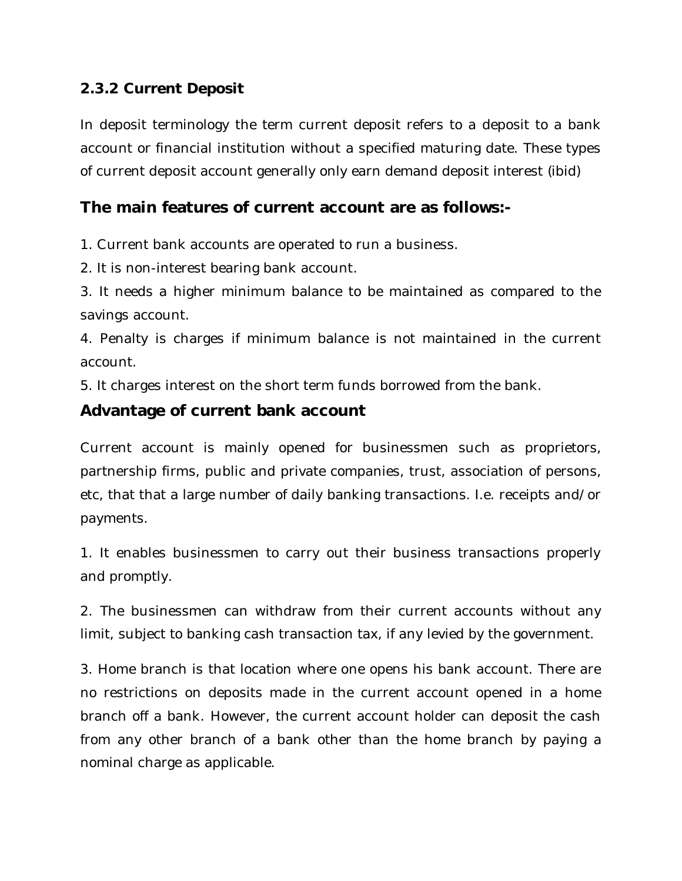### **2.3.2 Current Deposit**

In deposit terminology the term current deposit refers to a deposit to a bank account or financial institution without a specified maturing date. These types of current deposit account generally only earn demand deposit interest (ibid)

### **The main features of current account are as follows:-**

1. Current bank accounts are operated to run a business.

2. It is non-interest bearing bank account.

3. It needs a higher minimum balance to be maintained as compared to the savings account.

4. Penalty is charges if minimum balance is not maintained in the current account.

5. It charges interest on the short term funds borrowed from the bank.

### **Advantage of current bank account**

Current account is mainly opened for businessmen such as proprietors, partnership firms, public and private companies, trust, association of persons, etc, that that a large number of daily banking transactions. I.e. receipts and/or payments.

1. It enables businessmen to carry out their business transactions properly and promptly.

2. The businessmen can withdraw from their current accounts without any limit, subject to banking cash transaction tax, if any levied by the government.

3. Home branch is that location where one opens his bank account. There are no restrictions on deposits made in the current account opened in a home branch off a bank. However, the current account holder can deposit the cash from any other branch of a bank other than the home branch by paying a nominal charge as applicable.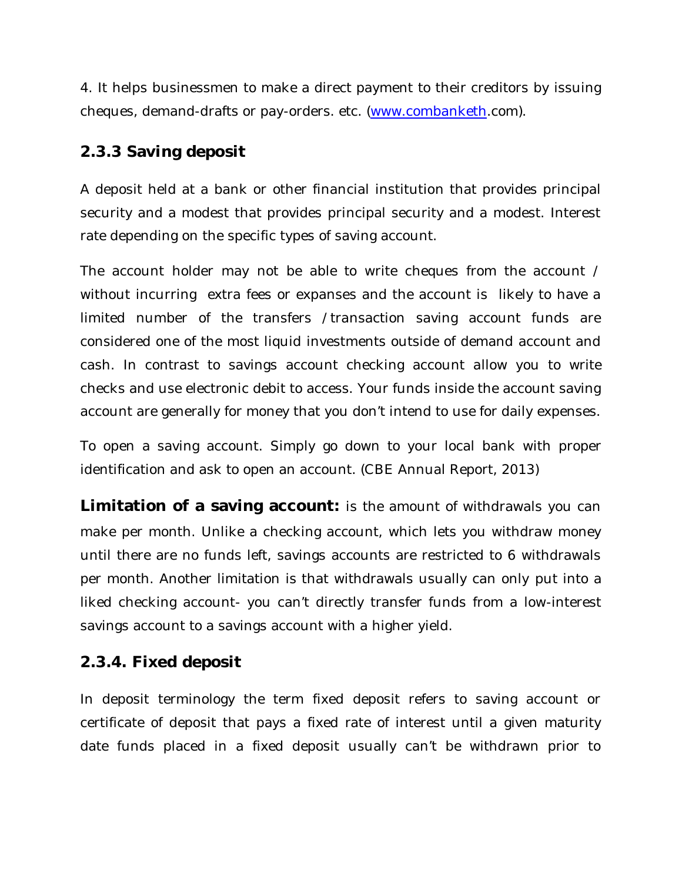4. It helps businessmen to make a direct payment to their creditors by issuing cheques, demand-drafts or pay-orders. etc. (www.combanketh.com).

### **2.3.3 Saving deposit**

A deposit held at a bank or other financial institution that provides principal security and a modest that provides principal security and a modest. Interest rate depending on the specific types of saving account.

The account holder may not be able to write cheques from the account / without incurring extra fees or expanses and the account is likely to have a limited number of the transfers /transaction saving account funds are considered one of the most liquid investments outside of demand account and cash. In contrast to savings account checking account allow you to write checks and use electronic debit to access. Your funds inside the account saving account are generally for money that you don't intend to use for daily expenses.

To open a saving account. Simply go down to your local bank with proper identification and ask to open an account. (CBE Annual Report, 2013)

**Limitation of a saving account:** is the amount of withdrawals you can make per month. Unlike a checking account, which lets you withdraw money until there are no funds left, savings accounts are restricted to 6 withdrawals per month. Another limitation is that withdrawals usually can only put into a liked checking account- you can't directly transfer funds from a low-interest savings account to a savings account with a higher yield.

### **2.3.4. Fixed deposit**

In deposit terminology the term fixed deposit refers to saving account or certificate of deposit that pays a fixed rate of interest until a given maturity date funds placed in a fixed deposit usually can't be withdrawn prior to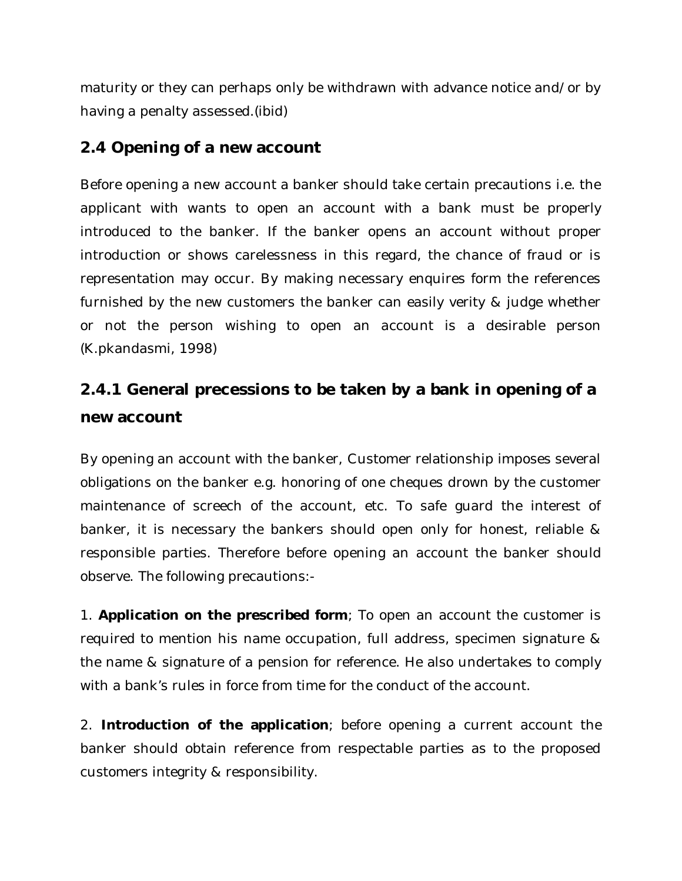maturity or they can perhaps only be withdrawn with advance notice and/or by having a penalty assessed.(ibid)

### **2.4 Opening of a new account**

Before opening a new account a banker should take certain precautions i.e. the applicant with wants to open an account with a bank must be properly introduced to the banker. If the banker opens an account without proper introduction or shows carelessness in this regard, the chance of fraud or is representation may occur. By making necessary enquires form the references furnished by the new customers the banker can easily verity & judge whether or not the person wishing to open an account is a desirable person (K.pkandasmi, 1998)

## **2.4.1 General precessions to be taken by a bank in opening of a new account**

By opening an account with the banker, Customer relationship imposes several obligations on the banker e.g. honoring of one cheques drown by the customer maintenance of screech of the account, etc. To safe guard the interest of banker, it is necessary the bankers should open only for honest, reliable & responsible parties. Therefore before opening an account the banker should observe. The following precautions:-

1. **Application on the prescribed form**; To open an account the customer is required to mention his name occupation, full address, specimen signature & the name & signature of a pension for reference. He also undertakes to comply with a bank's rules in force from time for the conduct of the account.

2. **Introduction of the application**; before opening a current account the banker should obtain reference from respectable parties as to the proposed customers integrity & responsibility.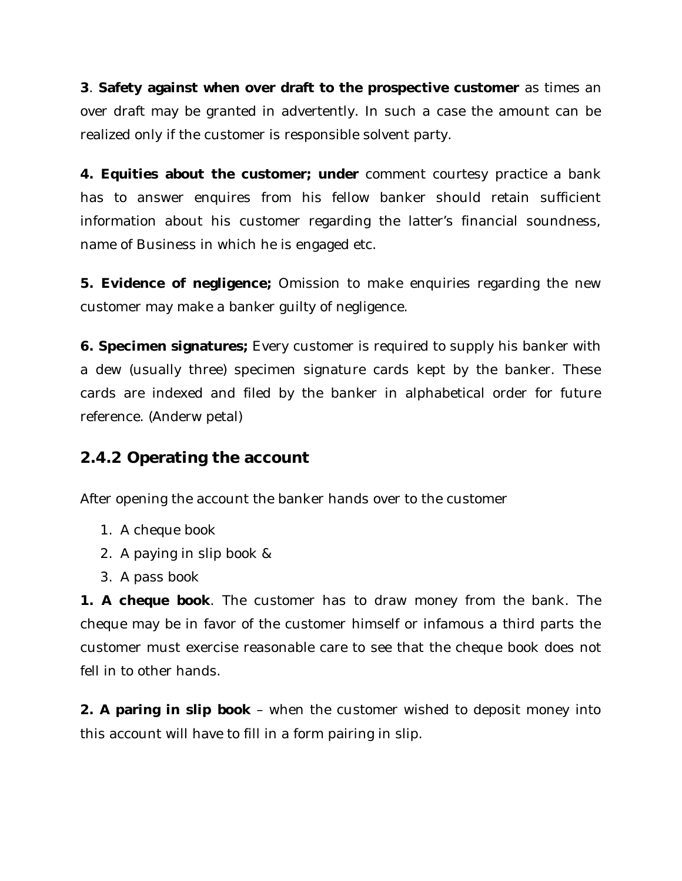**3**. **Safety against when over draft to the prospective customer** as times an over draft may be granted in advertently. In such a case the amount can be realized only if the customer is responsible solvent party.

**4. Equities about the customer; under** comment courtesy practice a bank has to answer enquires from his fellow banker should retain sufficient information about his customer regarding the latter's financial soundness, name of Business in which he is engaged etc.

**5. Evidence of negligence;** Omission to make enquiries regarding the new customer may make a banker guilty of negligence.

**6. Specimen signatures;** Every customer is required to supply his banker with a dew (usually three) specimen signature cards kept by the banker. These cards are indexed and filed by the banker in alphabetical order for future reference. (Anderw petal)

### **2.4.2 Operating the account**

After opening the account the banker hands over to the customer

- 1. A cheque book
- 2. A paying in slip book &
- 3. A pass book

**1. A cheque book**. The customer has to draw money from the bank. The cheque may be in favor of the customer himself or infamous a third parts the customer must exercise reasonable care to see that the cheque book does not fell in to other hands.

**2. A paring in slip book** – when the customer wished to deposit money into this account will have to fill in a form pairing in slip.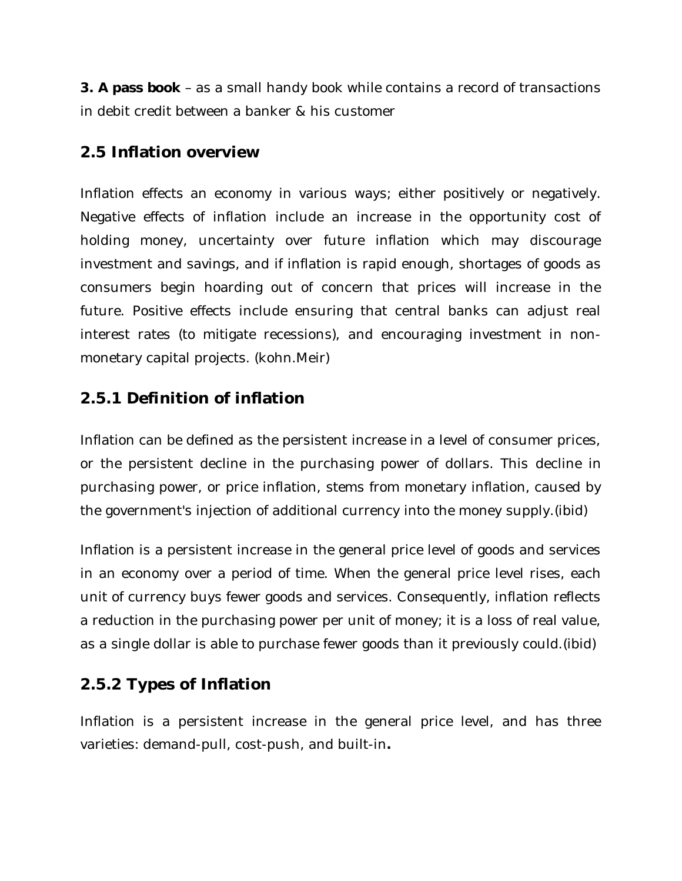**3. A pass book** – as a small handy book while contains a record of transactions in debit credit between a banker & his customer

### **2.5 Inflation overview**

Inflation effects an economy in various ways; either positively or negatively. Negative effects of inflation include an increase in the opportunity cost of holding money, uncertainty over future inflation which may discourage investment and savings, and if inflation is rapid enough, shortages of goods as consumers begin hoarding out of concern that prices will increase in the future. Positive effects include ensuring that central banks can adjust real interest rates (to mitigate recessions), and encouraging investment in nonmonetary capital projects. (kohn.Meir)

### **2.5.1 Definition of inflation**

Inflation can be defined as the persistent increase in a level of consumer prices, or the persistent decline in the purchasing power of dollars. This decline in purchasing power, or price inflation, stems from monetary inflation, caused by the government's injection of additional currency into the money supply.(ibid)

Inflation is a persistent increase in the general price level of goods and services in an economy over a period of time. When the general price level rises, each unit of currency buys fewer goods and services. Consequently, inflation reflects a reduction in the purchasing power per unit of money; it is a loss of real value, as a single dollar is able to purchase fewer goods than it previously could.(ibid)

## **2.5.2 Types of Inflation**

Inflation is a persistent increase in the general price level, and has three varieties: demand-pull, cost-push, and built-in**.**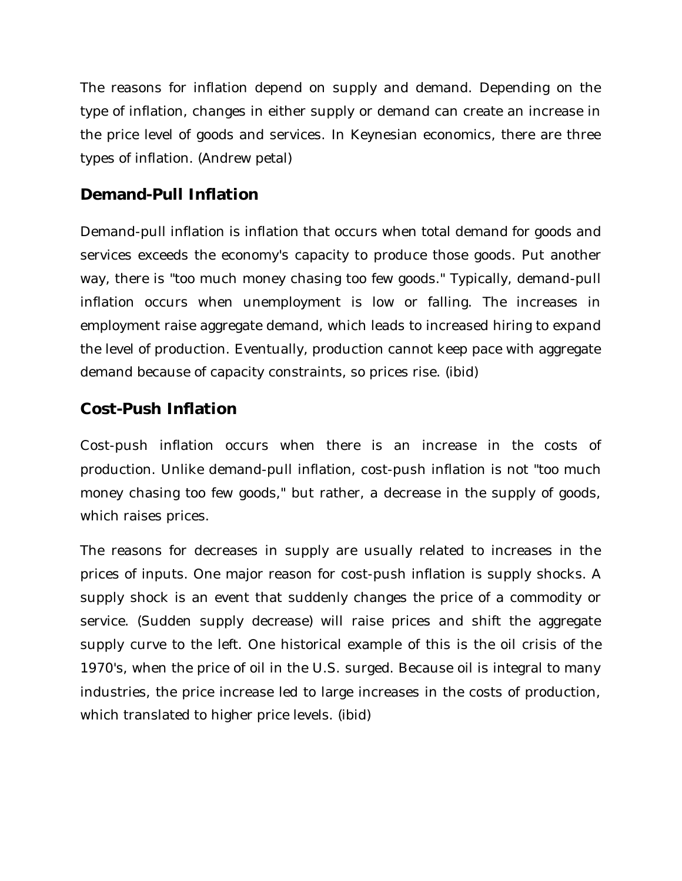The reasons for inflation depend on supply and demand. Depending on the type of inflation, changes in either supply or demand can create an increase in the price level of goods and services. In Keynesian economics, there are three types of inflation. (Andrew petal)

### **Demand-Pull Inflation**

Demand-pull inflation is inflation that occurs when total demand for goods and services exceeds the economy's capacity to produce those goods. Put another way, there is "too much money chasing too few goods." Typically, demand-pull inflation occurs when unemployment is low or falling. The increases in employment raise aggregate demand, which leads to increased hiring to expand the level of production. Eventually, production cannot keep pace with aggregate demand because of capacity constraints, so prices rise. (ibid)

## **Cost-Push Inflation**

Cost-push inflation occurs when there is an increase in the costs of production. Unlike demand-pull inflation, cost-push inflation is not "too much money chasing too few goods," but rather, a decrease in the supply of goods, which raises prices.

The reasons for decreases in supply are usually related to increases in the prices of inputs. One major reason for cost-push inflation is supply shocks. A supply shock is an event that suddenly changes the price of a commodity or service. (Sudden supply decrease) will raise prices and shift the aggregate supply curve to the left. One historical example of this is the oil crisis of the 1970's, when the price of oil in the U.S. surged. Because oil is integral to many industries, the price increase led to large increases in the costs of production, which translated to higher price levels. (ibid)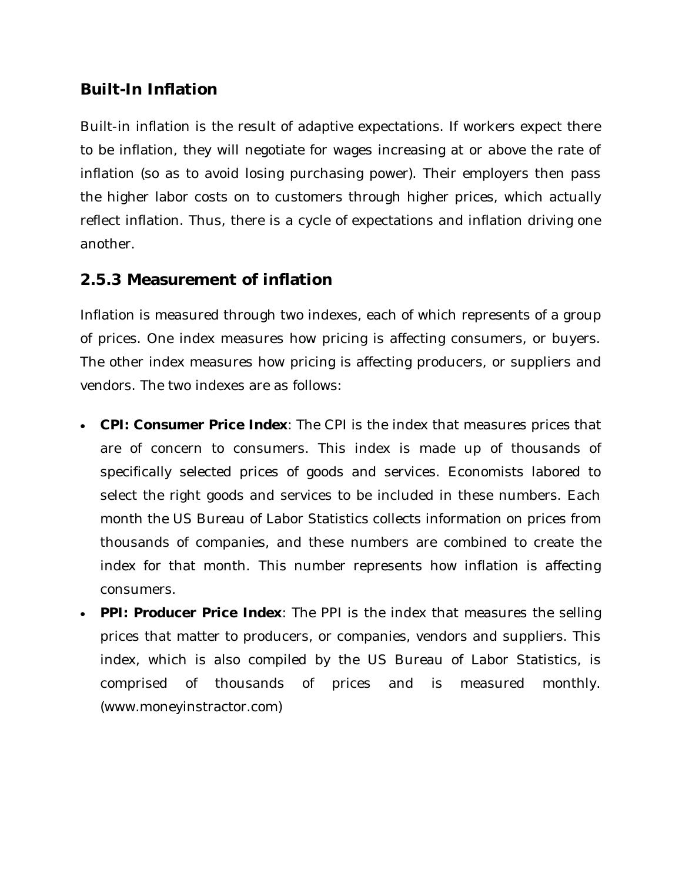### **Built-In Inflation**

Built-in inflation is the result of adaptive expectations. If workers expect there to be inflation, they will negotiate for wages increasing at or above the rate of inflation (so as to avoid losing purchasing power). Their employers then pass the higher labor costs on to customers through higher prices, which actually reflect inflation. Thus, there is a cycle of expectations and inflation driving one another.

### **2.5.3 Measurement of inflation**

Inflation is measured through two indexes, each of which represents of a group of prices. One index measures how pricing is affecting consumers, or buyers. The other index measures how pricing is affecting producers, or suppliers and vendors. The two indexes are as follows:

- **CPI: Consumer Price Index**: The CPI is the index that measures prices that are of concern to consumers. This index is made up of thousands of specifically selected prices of goods and services. Economists labored to select the right goods and services to be included in these numbers. Each month the US Bureau of Labor Statistics collects information on prices from thousands of companies, and these numbers are combined to create the index for that month. This number represents how inflation is affecting consumers.
- **PPI: Producer Price Index**: The PPI is the index that measures the selling prices that matter to producers, or companies, vendors and suppliers. This index, which is also compiled by the US Bureau of Labor Statistics, is comprised of thousands of prices and is measured monthly. (www.moneyinstractor.com)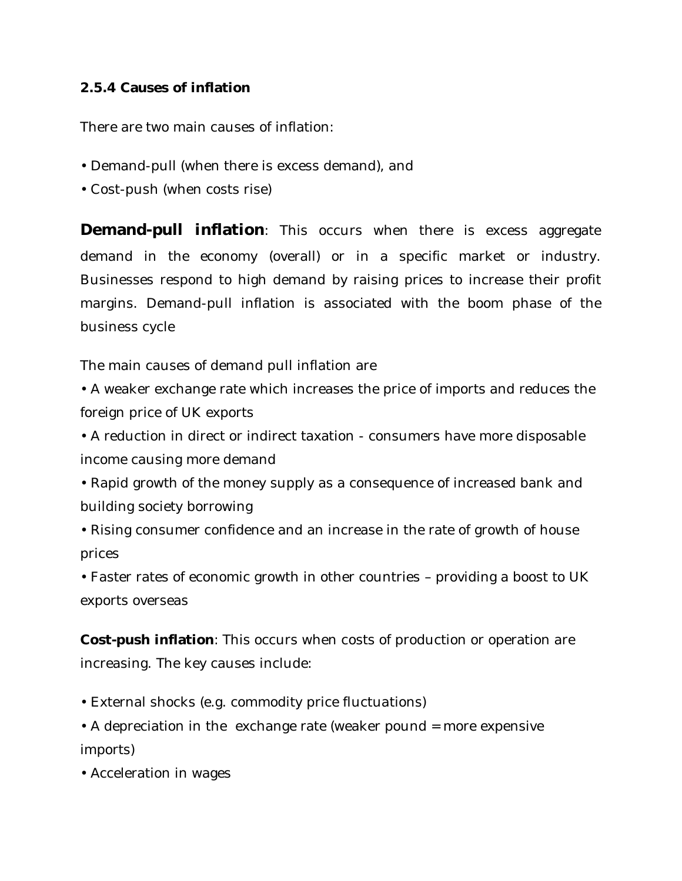#### **2.5.4 Causes of inflation**

There are two main causes of inflation:

- Demand-pull (when there is excess demand), and
- Cost-push (when costs rise)

**Demand-pull inflation**: This occurs when there is excess aggregate demand in the economy (overall) or in a specific market or industry. Businesses respond to high demand by raising prices to increase their profit margins. Demand-pull inflation is associated with the boom phase of the business cycle

The main causes of demand pull inflation are

• A weaker exchange rate which increases the price of imports and reduces the foreign price of UK exports

• A reduction in direct or indirect taxation - consumers have more disposable income causing more demand

- Rapid growth of the money supply as a consequence of increased bank and building society borrowing
- Rising consumer confidence and an increase in the rate of growth of house prices

• Faster rates of economic growth in other countries – providing a boost to UK exports overseas

**Cost-push inflation**: This occurs when costs of production or operation are increasing. The key causes include:

- External shocks (e.g. commodity price fluctuations)
- A depreciation in the exchange rate (weaker pound = more expensive imports)
- Acceleration in wages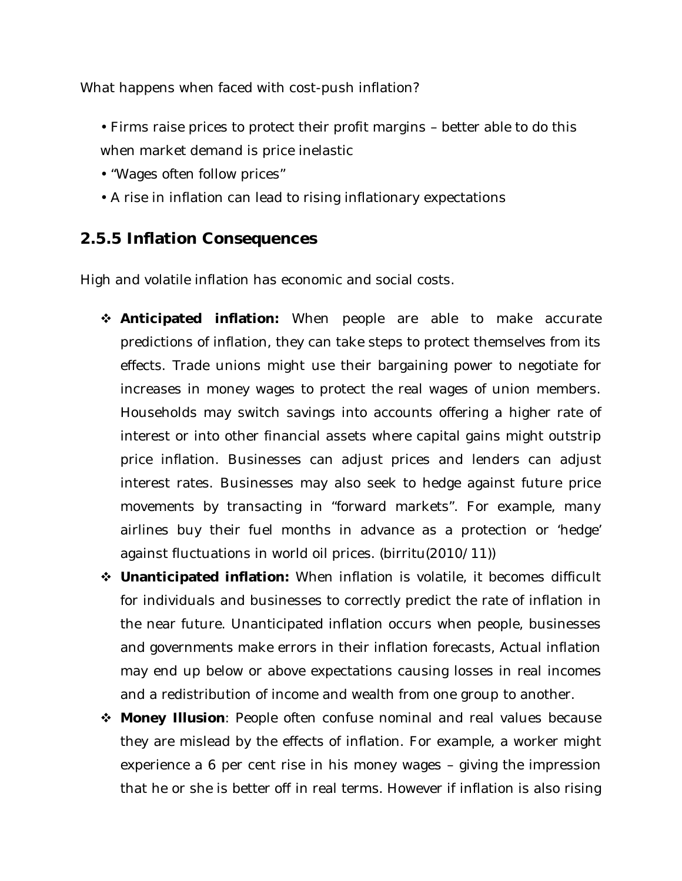What happens when faced with cost-push inflation?

- Firms raise prices to protect their profit margins better able to do this when market demand is price inelastic
- "Wages often follow prices"
- A rise in inflation can lead to rising inflationary expectations

### **2.5.5 Inflation Consequences**

High and volatile inflation has economic and social costs.

- **Anticipated inflation:** When people are able to make accurate predictions of inflation, they can take steps to protect themselves from its effects. Trade unions might use their bargaining power to negotiate for increases in money wages to protect the real wages of union members. Households may switch savings into accounts offering a higher rate of interest or into other financial assets where capital gains might outstrip price inflation. Businesses can adjust prices and lenders can adjust interest rates. Businesses may also seek to hedge against future price movements by transacting in "forward markets". For example, many airlines buy their fuel months in advance as a protection or 'hedge' against fluctuations in world oil prices. (birritu(2010/11))
- **Unanticipated inflation:** When inflation is volatile, it becomes difficult for individuals and businesses to correctly predict the rate of inflation in the near future. Unanticipated inflation occurs when people, businesses and governments make errors in their inflation forecasts, Actual inflation may end up below or above expectations causing losses in real incomes and a redistribution of income and wealth from one group to another.
- **Money Illusion**: People often confuse nominal and real values because they are mislead by the effects of inflation. For example, a worker might experience a 6 per cent rise in his money wages – giving the impression that he or she is better off in real terms. However if inflation is also rising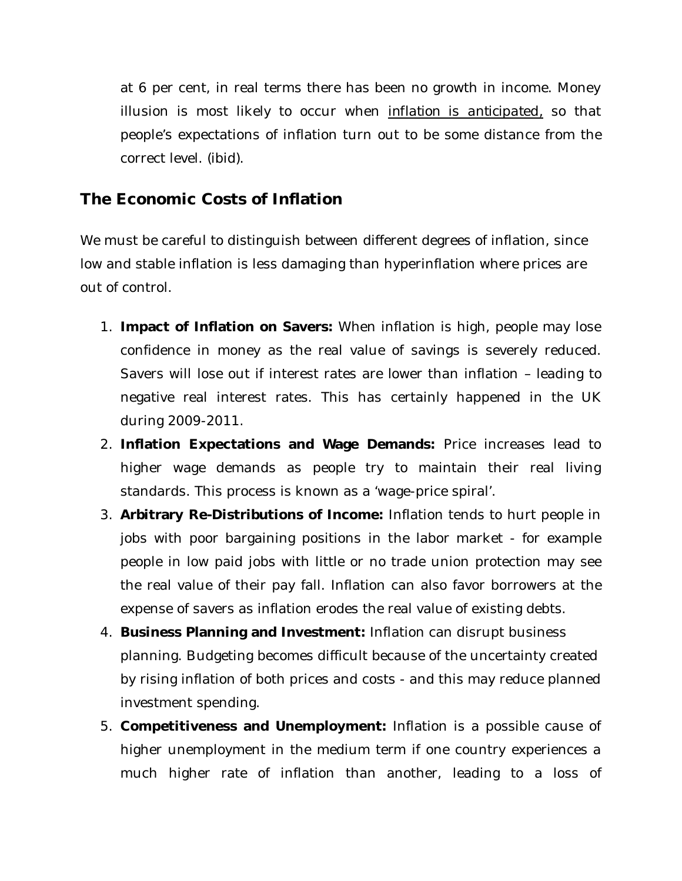at 6 per cent, in real terms there has been no growth in income. Money illusion is most likely to occur when *inflation is anticipated,* so that people's expectations of inflation turn out to be some distance from the correct level. (ibid).

### **The Economic Costs of Inflation**

We must be careful to distinguish between different degrees of inflation, since low and stable inflation is less damaging than hyperinflation where prices are out of control.

- 1. **Impact of Inflation on Savers:** When inflation is high, people may lose confidence in money as the real value of savings is severely reduced. Savers will lose out if interest rates are lower than inflation – leading to negative real interest rates. This has certainly happened in the UK during 2009-2011.
- 2. **Inflation Expectations and Wage Demands:** Price increases lead to higher wage demands as people try to maintain their real living standards. This process is known as a 'wage-price spiral'.
- 3. **Arbitrary Re-Distributions of Income:** Inflation tends to hurt people in jobs with poor bargaining positions in the labor market - for example people in low paid jobs with little or no trade union protection may see the real value of their pay fall. Inflation can also favor borrowers at the expense of savers as inflation erodes the real value of existing debts.
- 4. **Business Planning and Investment:** Inflation can disrupt business planning. Budgeting becomes difficult because of the uncertainty created by rising inflation of both prices and costs - and this may reduce planned investment spending.
- 5. **Competitiveness and Unemployment:** Inflation is a possible cause of higher unemployment in the medium term if one country experiences a much higher rate of inflation than another, leading to a loss of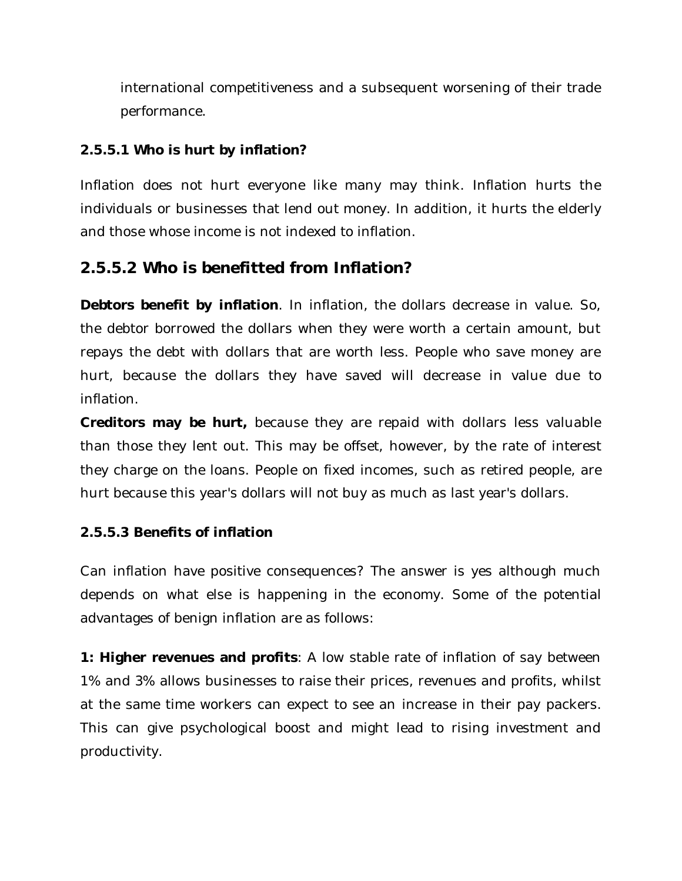international competitiveness and a subsequent worsening of their trade performance.

#### **2.5.5.1 Who is hurt by inflation?**

Inflation does not hurt everyone like many may think. Inflation hurts the individuals or businesses that lend out money. In addition, it hurts the elderly and those whose income is not indexed to inflation.

### **2.5.5.2 Who is benefitted from Inflation?**

**Debtors benefit by inflation**. In inflation, the dollars decrease in value. So, the debtor borrowed the dollars when they were worth a certain amount, but repays the debt with dollars that are worth less. People who save money are hurt, because the dollars they have saved will decrease in value due to inflation.

**Creditors may be hurt,** because they are repaid with dollars less valuable than those they lent out. This may be offset, however, by the rate of interest they charge on the loans. People on fixed incomes, such as retired people, are hurt because this year's dollars will not buy as much as last year's dollars.

#### **2.5.5.3 Benefits of inflation**

Can inflation have positive consequences? The answer is yes although much depends on what else is happening in the economy. Some of the potential advantages of benign inflation are as follows:

**1: Higher revenues and profits**: A low stable rate of inflation of say between 1% and 3% allows businesses to raise their prices, revenues and profits, whilst at the same time workers can expect to see an increase in their pay packers. This can give psychological boost and might lead to rising investment and productivity.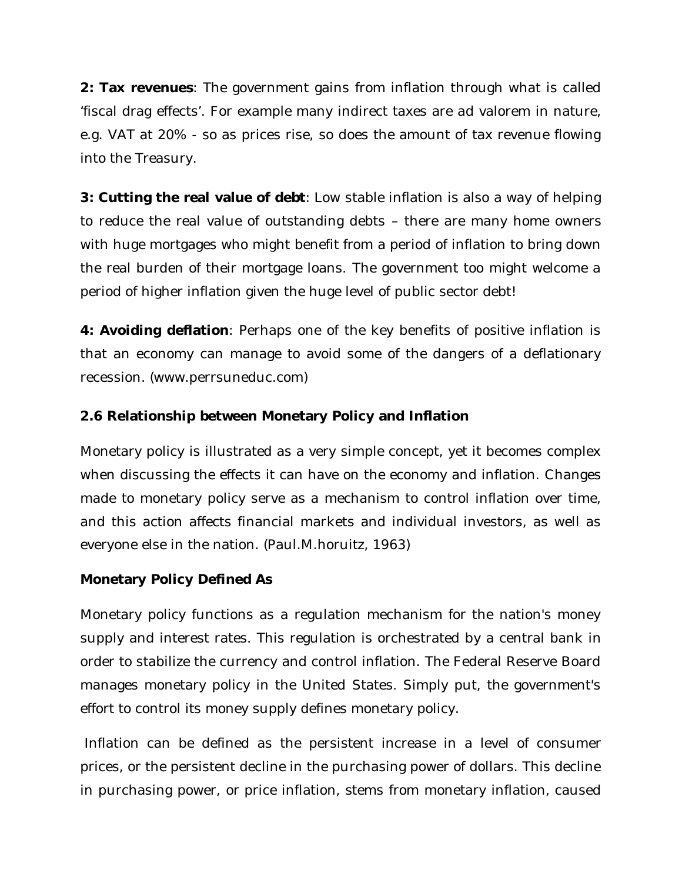**2: Tax revenues**: The government gains from inflation through what is called 'fiscal drag effects'. For example many indirect taxes are ad valorem in nature, e.g. VAT at 20% - so as prices rise, so does the amount of tax revenue flowing into the Treasury.

**3: Cutting the real value of debt**: Low stable inflation is also a way of helping to reduce the real value of outstanding debts – there are many home owners with huge mortgages who might benefit from a period of inflation to bring down the real burden of their mortgage loans. The government too might welcome a period of higher inflation given the huge level of public sector debt!

**4: Avoiding deflation**: Perhaps one of the key benefits of positive inflation is that an economy can manage to avoid some of the dangers of a deflationary recession. (www.perrsuneduc.com)

#### **2.6 Relationship between Monetary Policy and Inflation**

Monetary policy is illustrated as a very simple concept, yet it becomes complex when discussing the effects it can have on the economy and inflation. Changes made to monetary policy serve as a mechanism to control inflation over time, and this action affects financial markets and individual investors, as well as everyone else in the nation. (Paul.M.horuitz, 1963)

#### **Monetary Policy Defined As**

Monetary policy functions as a regulation mechanism for the nation's money supply and interest rates. This regulation is orchestrated by a central bank in order to stabilize the currency and control inflation. The Federal Reserve Board manages monetary policy in the United States. Simply put, the government's effort to control its money supply defines monetary policy.

Inflation can be defined as the persistent increase in a level of consumer prices, or the persistent decline in the purchasing power of dollars. This decline in purchasing power, or price inflation, stems from monetary inflation, caused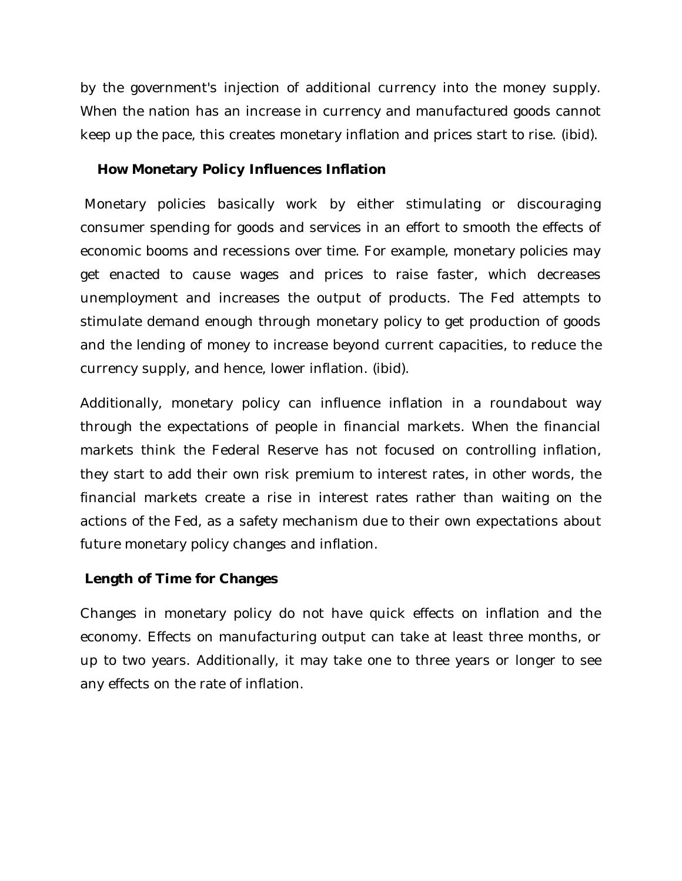by the government's injection of additional currency into the money supply. When the nation has an increase in currency and manufactured goods cannot keep up the pace, this creates monetary inflation and prices start to rise. (ibid).

#### **How Monetary Policy Influences Inflation**

Monetary policies basically work by either stimulating or discouraging consumer spending for goods and services in an effort to smooth the effects of economic booms and recessions over time. For example, monetary policies may get enacted to cause wages and prices to raise faster, which decreases unemployment and increases the output of products. The Fed attempts to stimulate demand enough through monetary policy to get production of goods and the lending of money to increase beyond current capacities, to reduce the currency supply, and hence, lower inflation. (ibid).

Additionally, monetary policy can influence inflation in a roundabout way through the expectations of people in financial markets. When the financial markets think the Federal Reserve has not focused on controlling inflation, they start to add their own risk premium to interest rates, in other words, the financial markets create a rise in interest rates rather than waiting on the actions of the Fed, as a safety mechanism due to their own expectations about future monetary policy changes and inflation.

#### **Length of Time for Changes**

Changes in monetary policy do not have quick effects on inflation and the economy. Effects on manufacturing output can take at least three months, or up to two years. Additionally, it may take one to three years or longer to see any effects on the rate of inflation.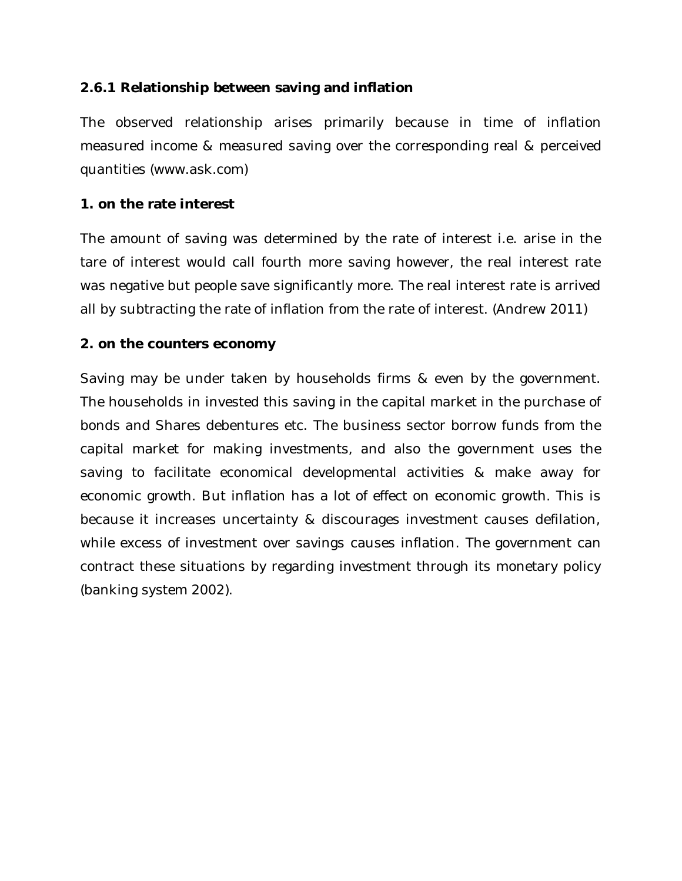#### **2.6.1 Relationship between saving and inflation**

The observed relationship arises primarily because in time of inflation measured income & measured saving over the corresponding real & perceived quantities (www.ask.com)

#### **1. on the rate interest**

The amount of saving was determined by the rate of interest i.e. arise in the tare of interest would call fourth more saving however, the real interest rate was negative but people save significantly more. The real interest rate is arrived all by subtracting the rate of inflation from the rate of interest. (Andrew 2011)

#### **2. on the counters economy**

Saving may be under taken by households firms & even by the government. The households in invested this saving in the capital market in the purchase of bonds and Shares debentures etc. The business sector borrow funds from the capital market for making investments, and also the government uses the saving to facilitate economical developmental activities & make away for economic growth. But inflation has a lot of effect on economic growth. This is because it increases uncertainty & discourages investment causes defilation, while excess of investment over savings causes inflation. The government can contract these situations by regarding investment through its monetary policy (banking system 2002).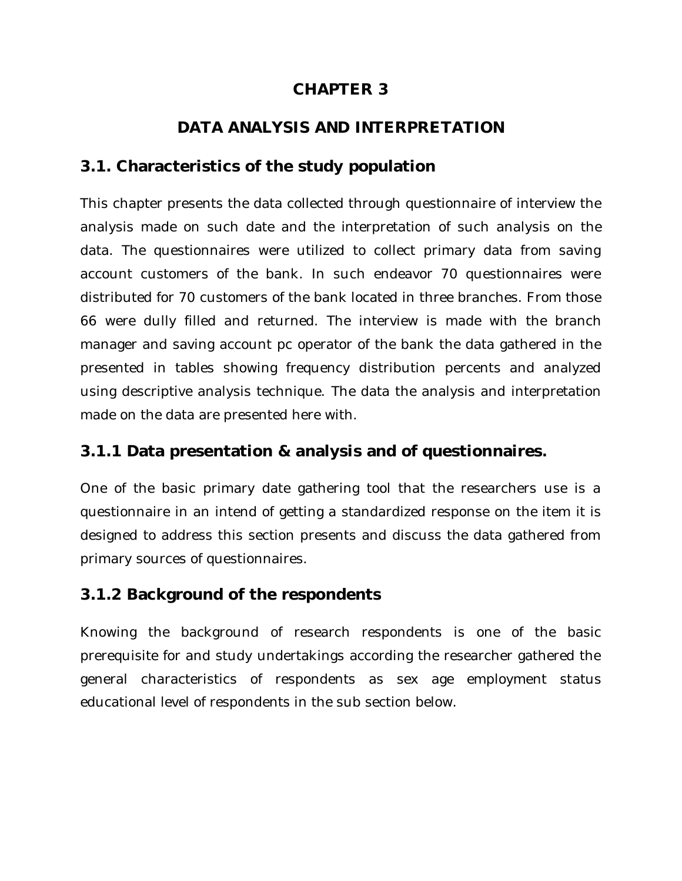### **CHAPTER 3**

### **DATA ANALYSIS AND INTERPRETATION**

### **3.1. Characteristics of the study population**

This chapter presents the data collected through questionnaire of interview the analysis made on such date and the interpretation of such analysis on the data. The questionnaires were utilized to collect primary data from saving account customers of the bank. In such endeavor 70 questionnaires were distributed for 70 customers of the bank located in three branches. From those 66 were dully filled and returned. The interview is made with the branch manager and saving account pc operator of the bank the data gathered in the presented in tables showing frequency distribution percents and analyzed using descriptive analysis technique. The data the analysis and interpretation made on the data are presented here with.

### **3.1.1 Data presentation & analysis and of questionnaires.**

One of the basic primary date gathering tool that the researchers use is a questionnaire in an intend of getting a standardized response on the item it is designed to address this section presents and discuss the data gathered from primary sources of questionnaires.

### **3.1.2 Background of the respondents**

Knowing the background of research respondents is one of the basic prerequisite for and study undertakings according the researcher gathered the general characteristics of respondents as sex age employment status educational level of respondents in the sub section below.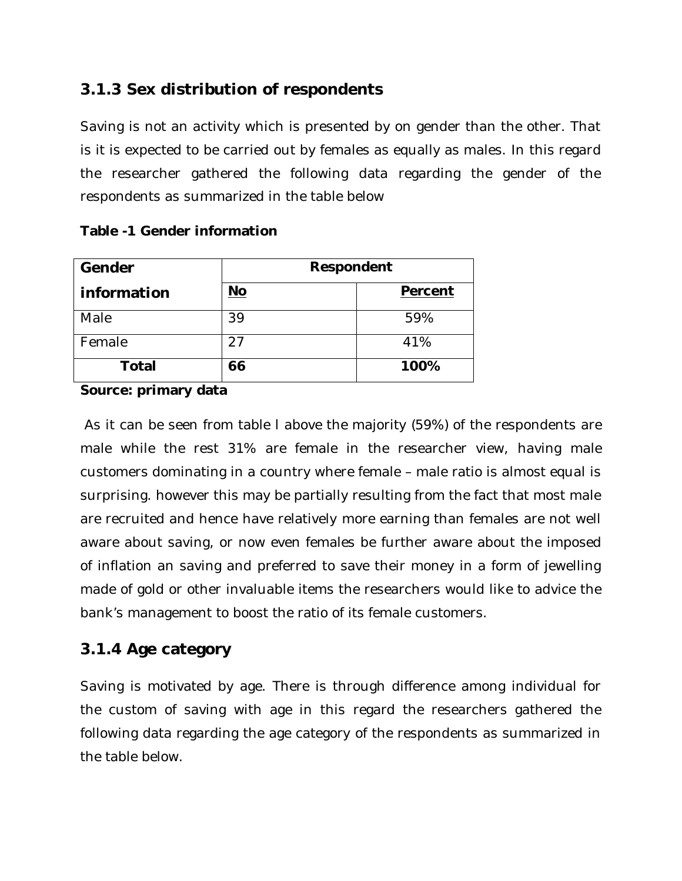### **3.1.3 Sex distribution of respondents**

Saving is not an activity which is presented by on gender than the other. That is it is expected to be carried out by females as equally as males. In this regard the researcher gathered the following data regarding the gender of the respondents as summarized in the table below

| Gender       | Respondent |         |
|--------------|------------|---------|
| information  | <u>No</u>  | Percent |
| Male         | 39         | 59%     |
| Female       | 27         | 41%     |
| <b>Total</b> | 66         | 100%    |

#### **Table -1 Gender information**

**Source: primary data** 

As it can be seen from table l above the majority (59%) of the respondents are male while the rest 31% are female in the researcher view, having male customers dominating in a country where female – male ratio is almost equal is surprising. however this may be partially resulting from the fact that most male are recruited and hence have relatively more earning than females are not well aware about saving, or now even females be further aware about the imposed of inflation an saving and preferred to save their money in a form of jewelling made of gold or other invaluable items the researchers would like to advice the bank's management to boost the ratio of its female customers.

### **3.1.4 Age category**

Saving is motivated by age. There is through difference among individual for the custom of saving with age in this regard the researchers gathered the following data regarding the age category of the respondents as summarized in the table below.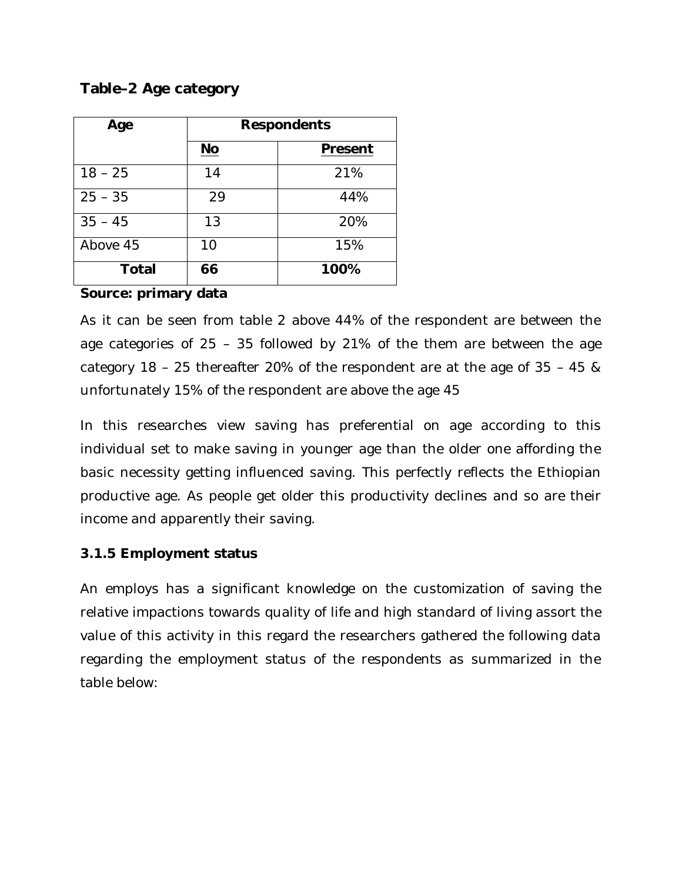#### **Table–2 Age category**

| Age          | <b>Respondents</b> |         |
|--------------|--------------------|---------|
|              | $No$               | Present |
| $18 - 25$    | 14                 | 21%     |
| $25 - 35$    | 29                 | 44%     |
| $35 - 45$    | 13                 | 20%     |
| Above 45     | 10                 | 15%     |
| <b>Total</b> | 66                 | 100%    |

#### **Source: primary data**

As it can be seen from table 2 above 44% of the respondent are between the age categories of 25 – 35 followed by 21% of the them are between the age category 18 – 25 thereafter 20% of the respondent are at the age of 35 – 45 & unfortunately 15% of the respondent are above the age 45

In this researches view saving has preferential on age according to this individual set to make saving in younger age than the older one affording the basic necessity getting influenced saving. This perfectly reflects the Ethiopian productive age. As people get older this productivity declines and so are their income and apparently their saving.

#### **3.1.5 Employment status**

An employs has a significant knowledge on the customization of saving the relative impactions towards quality of life and high standard of living assort the value of this activity in this regard the researchers gathered the following data regarding the employment status of the respondents as summarized in the table below: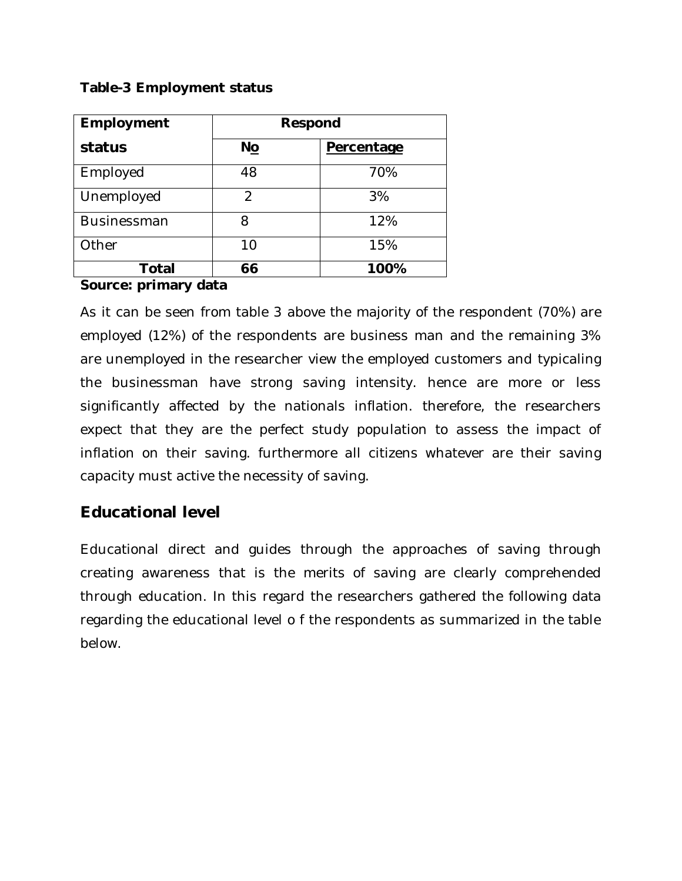#### **Table-3 Employment status**

| Employment         | Respond       |            |
|--------------------|---------------|------------|
| status             | <b>No</b>     | Percentage |
| Employed           | 48            | 70%        |
| Unemployed         | $\mathcal{P}$ | 3%         |
| <b>Businessman</b> | 8             | 12%        |
| Other              | 10            | 15%        |
| Total              | 66            | 100%       |

#### **Source: primary data**

As it can be seen from table 3 above the majority of the respondent (70%) are employed (12%) of the respondents are business man and the remaining 3% are unemployed in the researcher view the employed customers and typicaling the businessman have strong saving intensity. hence are more or less significantly affected by the nationals inflation. therefore, the researchers expect that they are the perfect study population to assess the impact of inflation on their saving. furthermore all citizens whatever are their saving capacity must active the necessity of saving.

### **Educational level**

Educational direct and guides through the approaches of saving through creating awareness that is the merits of saving are clearly comprehended through education. In this regard the researchers gathered the following data regarding the educational level o f the respondents as summarized in the table below.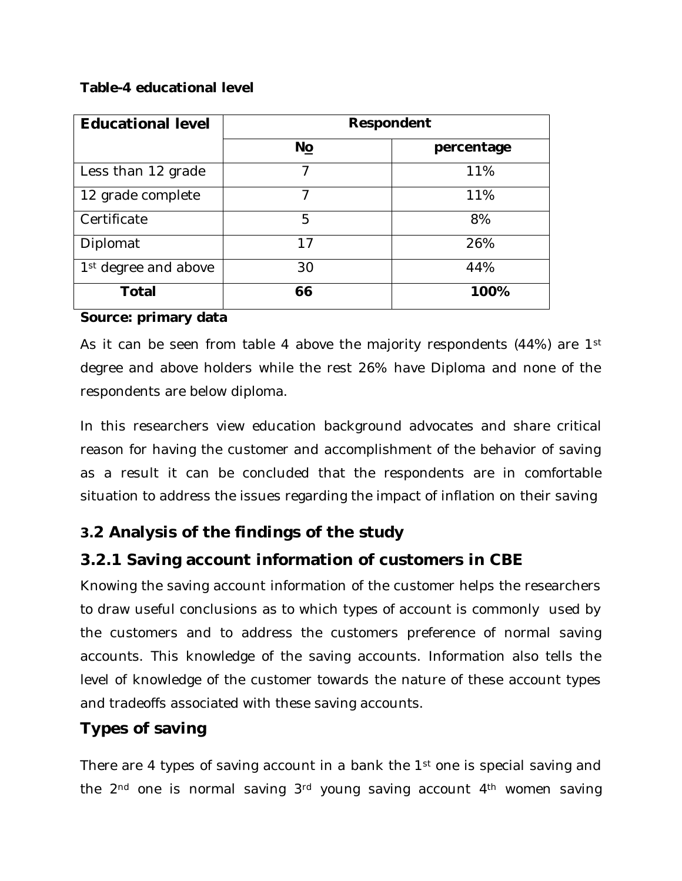#### **Table-4 educational level**

| <b>Educational level</b>         | Respondent |            |
|----------------------------------|------------|------------|
|                                  | No         | percentage |
| Less than 12 grade               |            | 11%        |
| 12 grade complete                | 7          | 11%        |
| Certificate                      | 5          | 8%         |
| Diplomat                         | 17         | 26%        |
| 1 <sup>st</sup> degree and above | 30         | 44%        |
| Total                            | 66         | 100%       |

#### **Source: primary data**

As it can be seen from table 4 above the majority respondents (44%) are 1<sup>st</sup> degree and above holders while the rest 26% have Diploma and none of the respondents are below diploma.

In this researchers view education background advocates and share critical reason for having the customer and accomplishment of the behavior of saving as a result it can be concluded that the respondents are in comfortable situation to address the issues regarding the impact of inflation on their saving

### **3.2 Analysis of the findings of the study**

### **3.2.1 Saving account information of customers in CBE**

Knowing the saving account information of the customer helps the researchers to draw useful conclusions as to which types of account is commonly used by the customers and to address the customers preference of normal saving accounts. This knowledge of the saving accounts. Information also tells the level of knowledge of the customer towards the nature of these account types and tradeoffs associated with these saving accounts.

### **Types of saving**

There are 4 types of saving account in a bank the 1<sup>st</sup> one is special saving and the  $2<sup>nd</sup>$  one is normal saving  $3<sup>rd</sup>$  young saving account  $4<sup>th</sup>$  women saving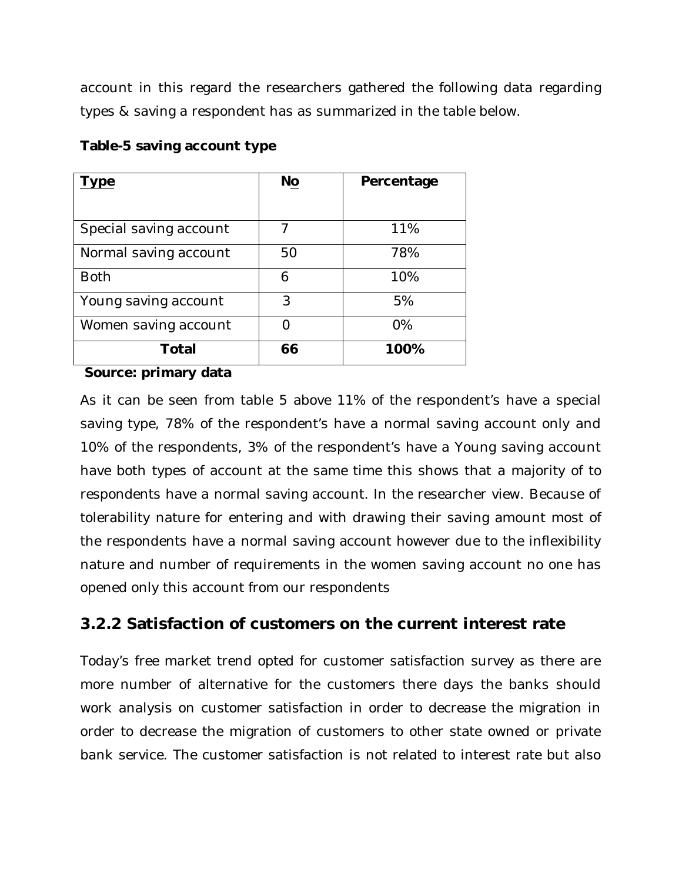account in this regard the researchers gathered the following data regarding types & saving a respondent has as summarized in the table below.

| ype                    | No | Percentage |
|------------------------|----|------------|
| Special saving account | 7  | 11%        |
| Normal saving account  | 50 | 78%        |
| <b>Both</b>            | 6  | 10%        |
| Young saving account   | 3  | 5%         |
| Women saving account   |    | $O\%$      |
| Total                  | 66 | 100%       |

### **Table-5 saving account type**

**Source: primary data** 

As it can be seen from table 5 above 11% of the respondent's have a special saving type, 78% of the respondent's have a normal saving account only and 10% of the respondents, 3% of the respondent's have a Young saving account have both types of account at the same time this shows that a majority of to respondents have a normal saving account. In the researcher view. Because of tolerability nature for entering and with drawing their saving amount most of the respondents have a normal saving account however due to the inflexibility nature and number of requirements in the women saving account no one has opened only this account from our respondents

### **3.2.2 Satisfaction of customers on the current interest rate**

Today's free market trend opted for customer satisfaction survey as there are more number of alternative for the customers there days the banks should work analysis on customer satisfaction in order to decrease the migration in order to decrease the migration of customers to other state owned or private bank service. The customer satisfaction is not related to interest rate but also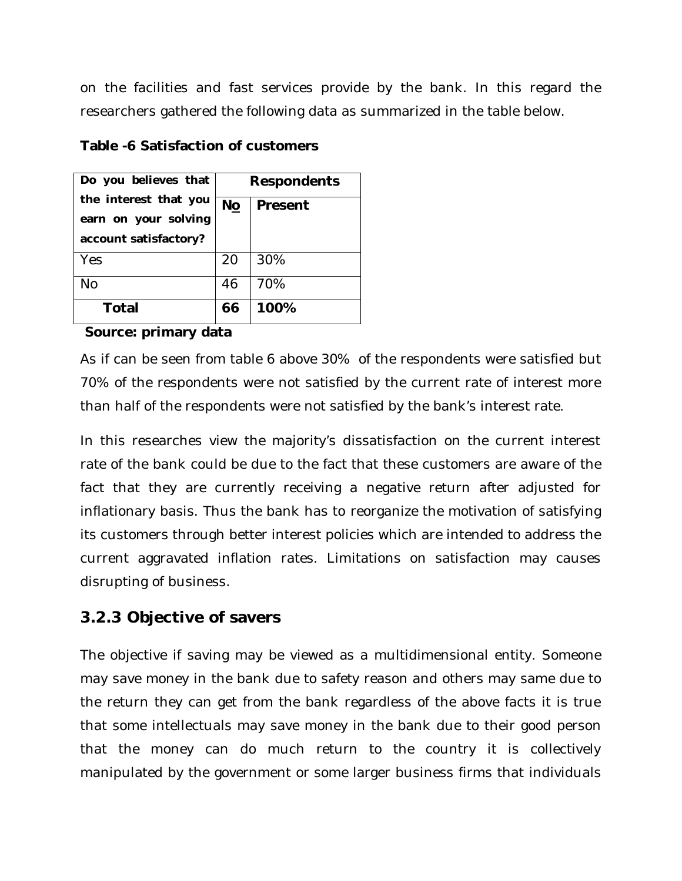on the facilities and fast services provide by the bank. In this regard the researchers gathered the following data as summarized in the table below.

| Do you believes that  | <b>Respondents</b> |      |
|-----------------------|--------------------|------|
| the interest that you | No<br>Present      |      |
| earn on your solving  |                    |      |
| account satisfactory? |                    |      |
| Yes                   | 20                 | 30%  |
| No                    | 46                 | 70%  |
| Total                 | 66                 | 100% |

#### **Table -6 Satisfaction of customers**

#### **Source: primary data**

As if can be seen from table 6 above 30% of the respondents were satisfied but 70% of the respondents were not satisfied by the current rate of interest more than half of the respondents were not satisfied by the bank's interest rate.

In this researches view the majority's dissatisfaction on the current interest rate of the bank could be due to the fact that these customers are aware of the fact that they are currently receiving a negative return after adjusted for inflationary basis. Thus the bank has to reorganize the motivation of satisfying its customers through better interest policies which are intended to address the current aggravated inflation rates. Limitations on satisfaction may causes disrupting of business.

#### **3.2.3 Objective of savers**

The objective if saving may be viewed as a multidimensional entity. Someone may save money in the bank due to safety reason and others may same due to the return they can get from the bank regardless of the above facts it is true that some intellectuals may save money in the bank due to their good person that the money can do much return to the country it is collectively manipulated by the government or some larger business firms that individuals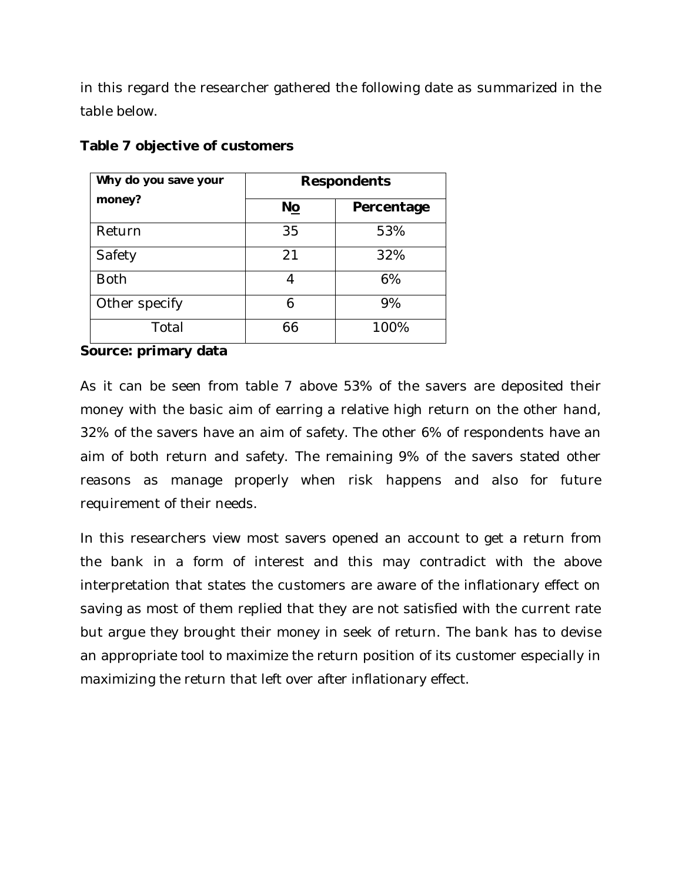in this regard the researcher gathered the following date as summarized in the table below.

| Why do you save your | <b>Respondents</b> |            |
|----------------------|--------------------|------------|
| money?               | No                 | Percentage |
| Return               | 35                 | 53%        |
| Safety               | 21                 | 32%        |
| <b>Both</b>          |                    | 6%         |
| Other specify        | 6                  | 9%         |
| Total                | 66                 | 100%       |

#### **Table 7 objective of customers**

#### **Source: primary data**

As it can be seen from table 7 above 53% of the savers are deposited their money with the basic aim of earring a relative high return on the other hand, 32% of the savers have an aim of safety. The other 6% of respondents have an aim of both return and safety. The remaining 9% of the savers stated other reasons as manage properly when risk happens and also for future requirement of their needs.

In this researchers view most savers opened an account to get a return from the bank in a form of interest and this may contradict with the above interpretation that states the customers are aware of the inflationary effect on saving as most of them replied that they are not satisfied with the current rate but argue they brought their money in seek of return. The bank has to devise an appropriate tool to maximize the return position of its customer especially in maximizing the return that left over after inflationary effect.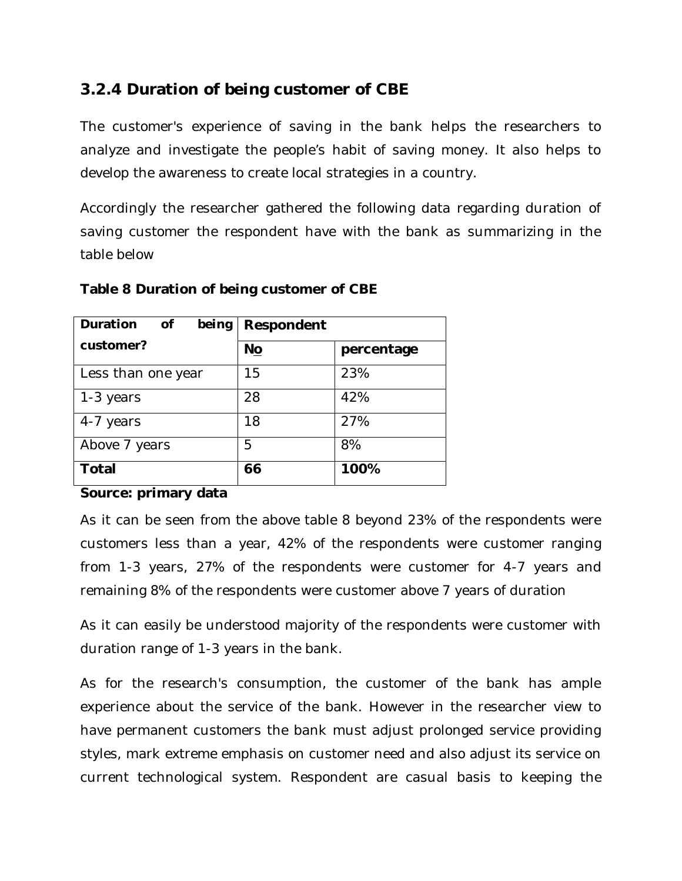### **3.2.4 Duration of being customer of CBE**

The customer's experience of saving in the bank helps the researchers to analyze and investigate the people's habit of saving money. It also helps to develop the awareness to create local strategies in a country.

Accordingly the researcher gathered the following data regarding duration of saving customer the respondent have with the bank as summarizing in the table below

| Duration<br>being<br>of | Respondent |            |
|-------------------------|------------|------------|
| customer?               | No         | percentage |
| Less than one year      | 15         | 23%        |
| 1-3 years               | 28         | 42%        |
| 4-7 years               | 18         | 27%        |
| Above 7 years           | 5          | 8%         |
| Total                   | 66         | 100%       |

#### **Table 8 Duration of being customer of CBE**

#### **Source: primary data**

As it can be seen from the above table 8 beyond 23% of the respondents were customers less than a year, 42% of the respondents were customer ranging from 1-3 years, 27% of the respondents were customer for 4-7 years and remaining 8% of the respondents were customer above 7 years of duration

As it can easily be understood majority of the respondents were customer with duration range of 1-3 years in the bank.

As for the research's consumption, the customer of the bank has ample experience about the service of the bank. However in the researcher view to have permanent customers the bank must adjust prolonged service providing styles, mark extreme emphasis on customer need and also adjust its service on current technological system. Respondent are casual basis to keeping the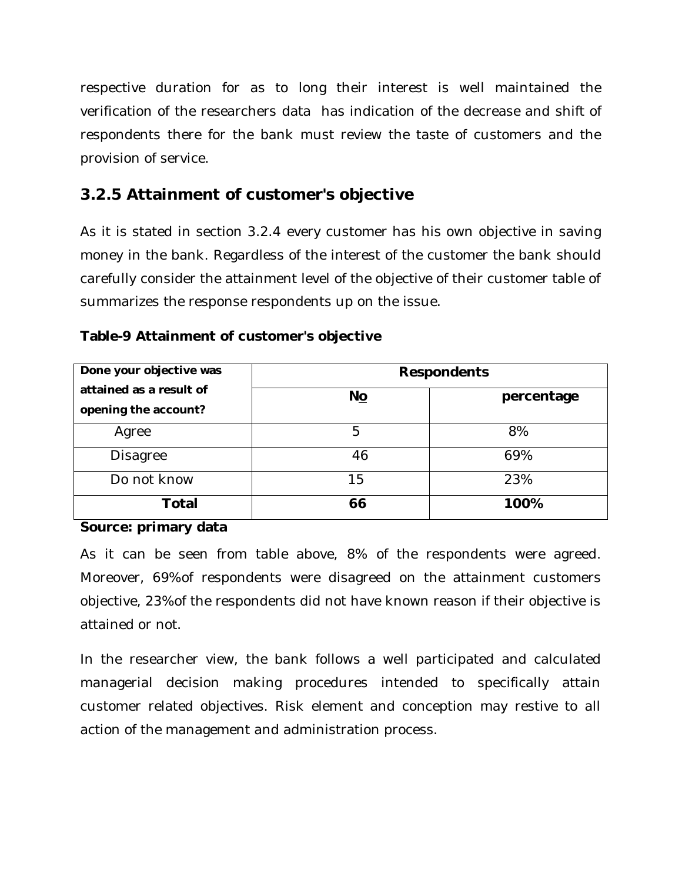respective duration for as to long their interest is well maintained the verification of the researchers data has indication of the decrease and shift of respondents there for the bank must review the taste of customers and the provision of service.

### **3.2.5 Attainment of customer's objective**

As it is stated in section 3.2.4 every customer has his own objective in saving money in the bank. Regardless of the interest of the customer the bank should carefully consider the attainment level of the objective of their customer table of summarizes the response respondents up on the issue.

| Done your objective was | <b>Respondents</b> |            |
|-------------------------|--------------------|------------|
| attained as a result of | $N_{\Omega}$       | percentage |
| opening the account?    |                    |            |
| Agree                   | 5                  | 8%         |
| <b>Disagree</b>         | 46                 | 69%        |
| Do not know             | 15                 | 23%        |
| <b>Total</b>            | 66                 | 100%       |

#### **Table-9 Attainment of customer's objective**

#### **Source: primary data**

As it can be seen from table above, 8% of the respondents were agreed. Moreover, 69%of respondents were disagreed on the attainment customers objective, 23%of the respondents did not have known reason if their objective is attained or not.

In the researcher view, the bank follows a well participated and calculated managerial decision making procedures intended to specifically attain customer related objectives. Risk element and conception may restive to all action of the management and administration process.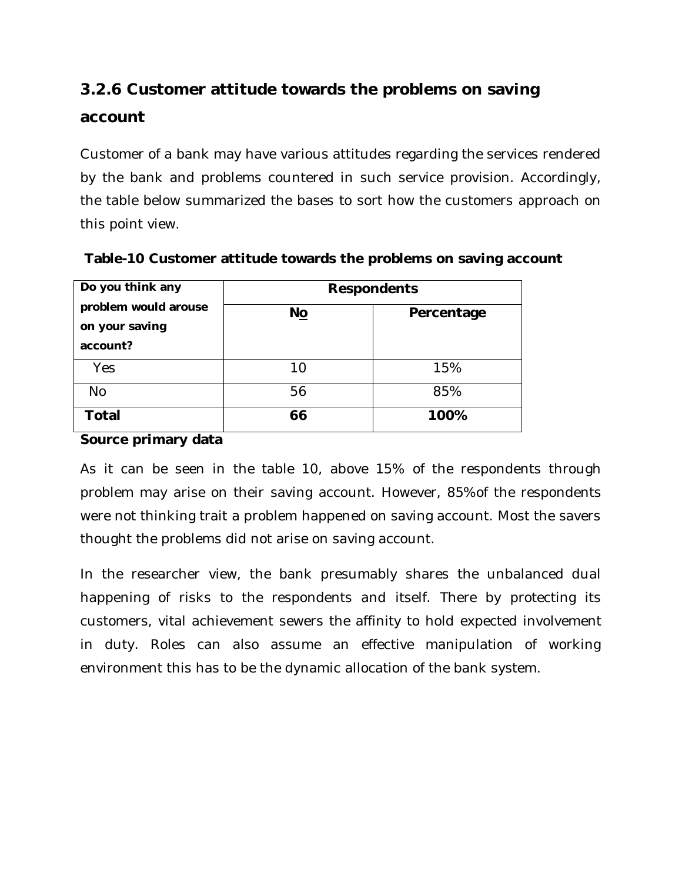## **3.2.6 Customer attitude towards the problems on saving account**

Customer of a bank may have various attitudes regarding the services rendered by the bank and problems countered in such service provision. Accordingly, the table below summarized the bases to sort how the customers approach on this point view.

| Do you think any                                   | <b>Respondents</b> |            |
|----------------------------------------------------|--------------------|------------|
| problem would arouse<br>on your saving<br>account? | No                 | Percentage |
| Yes                                                | 10                 | 15%        |
| <b>No</b>                                          | 56                 | 85%        |
| Total                                              | 66                 | 100%       |

**Table-10 Customer attitude towards the problems on saving account** 

#### **Source primary data**

As it can be seen in the table 10, above 15% of the respondents through problem may arise on their saving account. However, 85%of the respondents were not thinking trait a problem happened on saving account. Most the savers thought the problems did not arise on saving account.

In the researcher view, the bank presumably shares the unbalanced dual happening of risks to the respondents and itself. There by protecting its customers, vital achievement sewers the affinity to hold expected involvement in duty. Roles can also assume an effective manipulation of working environment this has to be the dynamic allocation of the bank system.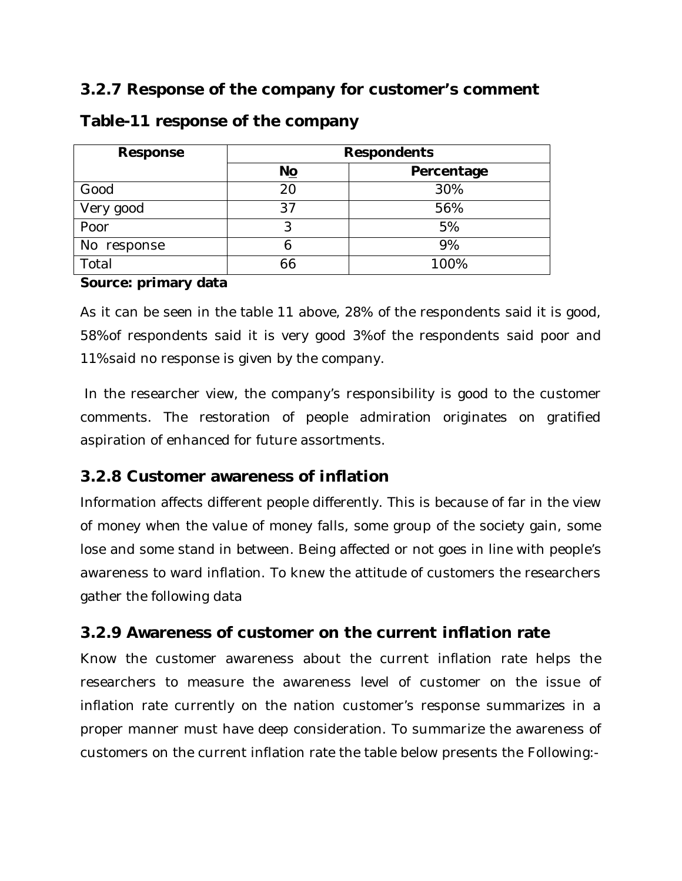### **3.2.7 Response of the company for customer's comment**

| Response    | <b>Respondents</b> |            |
|-------------|--------------------|------------|
|             | No                 | Percentage |
| Good        | 20                 | 30%        |
| Very good   | 37                 | 56%        |
| Poor        |                    | 5%         |
| No response |                    | 9%         |
| Total       | 66                 | 100%       |

#### **Table-11 response of the company**

#### **Source: primary data**

As it can be seen in the table 11 above, 28% of the respondents said it is good, 58%of respondents said it is very good 3%of the respondents said poor and 11%said no response is given by the company.

In the researcher view, the company's responsibility is good to the customer comments. The restoration of people admiration originates on gratified aspiration of enhanced for future assortments.

### **3.2.8 Customer awareness of inflation**

Information affects different people differently. This is because of far in the view of money when the value of money falls, some group of the society gain, some lose and some stand in between. Being affected or not goes in line with people's awareness to ward inflation. To knew the attitude of customers the researchers gather the following data

### **3.2.9 Awareness of customer on the current inflation rate**

Know the customer awareness about the current inflation rate helps the researchers to measure the awareness level of customer on the issue of inflation rate currently on the nation customer's response summarizes in a proper manner must have deep consideration. To summarize the awareness of customers on the current inflation rate the table below presents the Following:-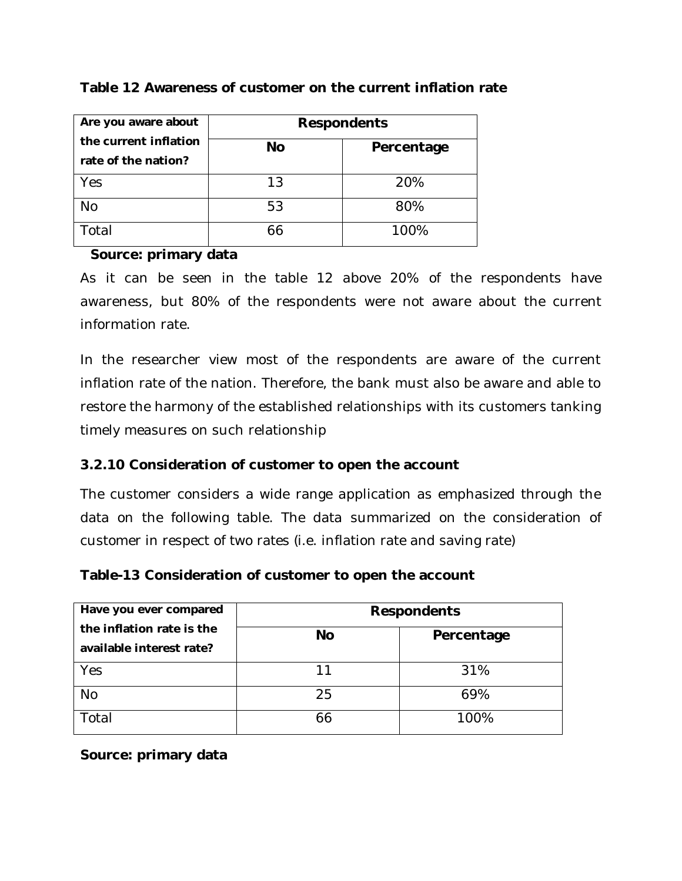| Are you aware about                          | <b>Respondents</b> |            |
|----------------------------------------------|--------------------|------------|
| the current inflation<br>rate of the nation? | <b>No</b>          | Percentage |
| Yes                                          | 13                 | 20%        |
| <b>No</b>                                    | 53                 | 80%        |
| Total                                        | 66                 | 100%       |

#### **Table 12 Awareness of customer on the current inflation rate**

#### **Source: primary data**

As it can be seen in the table 12 above 20% of the respondents have awareness, but 80% of the respondents were not aware about the current information rate.

In the researcher view most of the respondents are aware of the current inflation rate of the nation. Therefore, the bank must also be aware and able to restore the harmony of the established relationships with its customers tanking timely measures on such relationship

#### **3.2.10 Consideration of customer to open the account**

The customer considers a wide range application as emphasized through the data on the following table. The data summarized on the consideration of customer in respect of two rates (i.e. inflation rate and saving rate)

#### **Table-13 Consideration of customer to open the account**

| Have you ever compared                                | <b>Respondents</b> |            |
|-------------------------------------------------------|--------------------|------------|
| the inflation rate is the<br>available interest rate? | <b>No</b>          | Percentage |
| Yes                                                   | 11                 | 31%        |
| <b>No</b>                                             | 25                 | 69%        |
| Total                                                 | 66                 | 100%       |

#### **Source: primary data**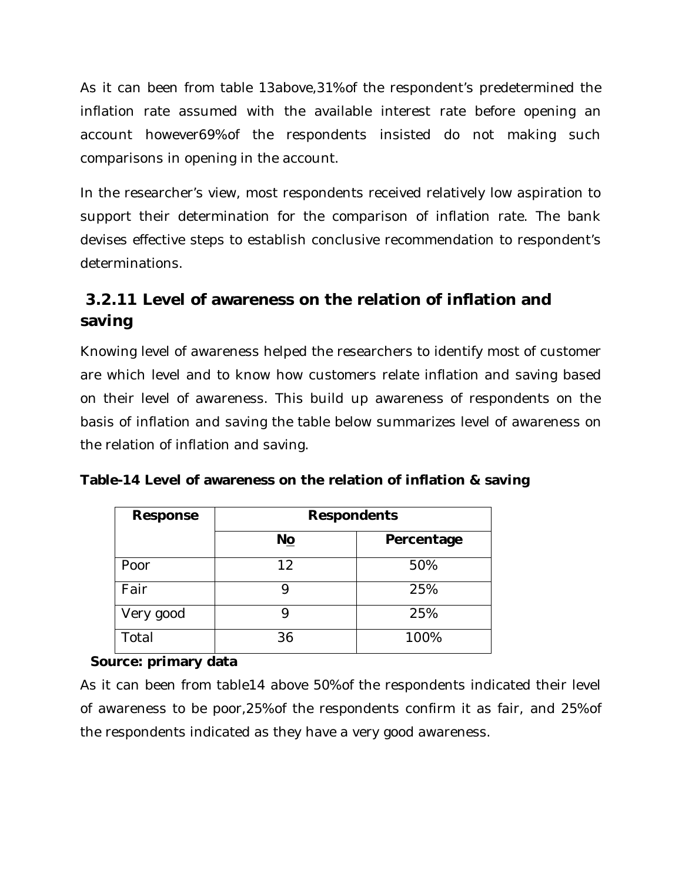As it can been from table 13above,31%of the respondent's predetermined the inflation rate assumed with the available interest rate before opening an account however69%of the respondents insisted do not making such comparisons in opening in the account.

In the researcher's view, most respondents received relatively low aspiration to support their determination for the comparison of inflation rate. The bank devises effective steps to establish conclusive recommendation to respondent's determinations.

### **3.2.11 Level of awareness on the relation of inflation and saving**

Knowing level of awareness helped the researchers to identify most of customer are which level and to know how customers relate inflation and saving based on their level of awareness. This build up awareness of respondents on the basis of inflation and saving the table below summarizes level of awareness on the relation of inflation and saving.

|  | Table-14 Level of awareness on the relation of inflation & saving |
|--|-------------------------------------------------------------------|
|--|-------------------------------------------------------------------|

| Response  | <b>Respondents</b> |            |
|-----------|--------------------|------------|
|           | No                 | Percentage |
| Poor      | 12                 | 50%        |
| Fair      |                    | 25%        |
| Very good |                    | 25%        |
| Total     | 36                 | 100%       |

#### **Source: primary data**

As it can been from table14 above 50%of the respondents indicated their level of awareness to be poor,25%of the respondents confirm it as fair, and 25%of the respondents indicated as they have a very good awareness.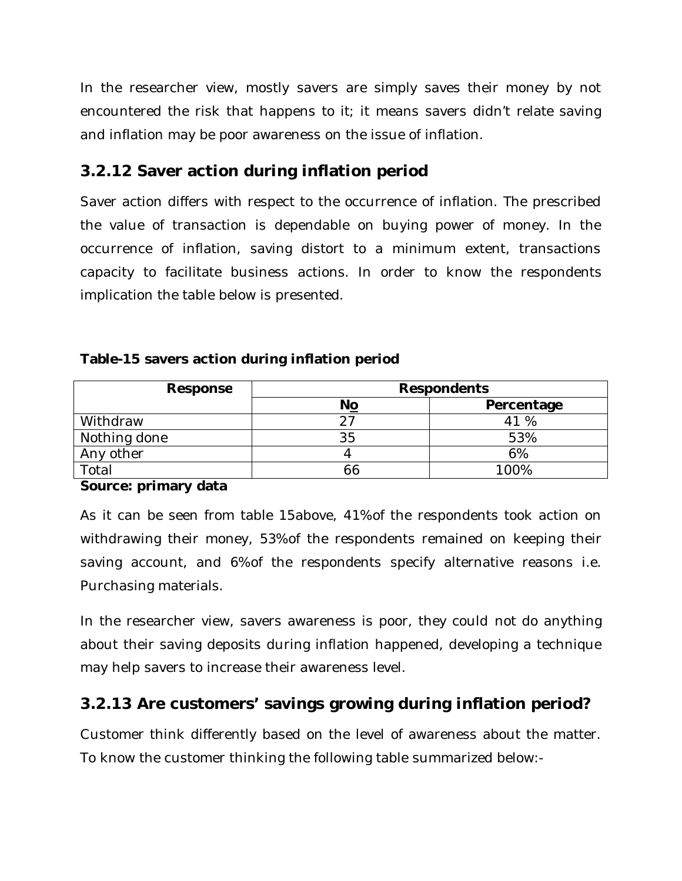In the researcher view, mostly savers are simply saves their money by not encountered the risk that happens to it; it means savers didn't relate saving and inflation may be poor awareness on the issue of inflation.

### **3.2.12 Saver action during inflation period**

Saver action differs with respect to the occurrence of inflation. The prescribed the value of transaction is dependable on buying power of money. In the occurrence of inflation, saving distort to a minimum extent, transactions capacity to facilitate business actions. In order to know the respondents implication the table below is presented.

#### **Table-15 savers action during inflation period**

| Response     | <b>Respondents</b> |            |
|--------------|--------------------|------------|
|              | No                 | Percentage |
| Withdraw     |                    | 41 %       |
| Nothing done | 35                 | 53%        |
| Any other    |                    | 6%         |
| Total        |                    | 100%       |

#### **Source: primary data**

As it can be seen from table 15above, 41%of the respondents took action on withdrawing their money, 53%of the respondents remained on keeping their saving account, and 6%of the respondents specify alternative reasons i.e. Purchasing materials.

In the researcher view, savers awareness is poor, they could not do anything about their saving deposits during inflation happened, developing a technique may help savers to increase their awareness level.

### **3.2.13 Are customers' savings growing during inflation period?**

Customer think differently based on the level of awareness about the matter. To know the customer thinking the following table summarized below:-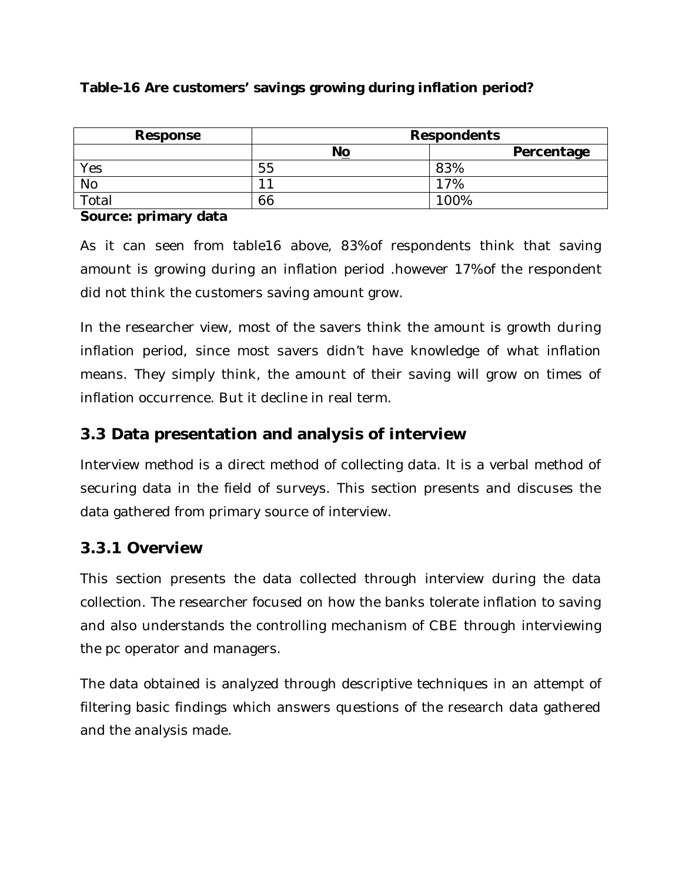#### **Table-16 Are customers' savings growing during inflation period?**

| Response    |                          | <b>Respondents</b> |
|-------------|--------------------------|--------------------|
|             | No                       | Percentage         |
| Yes         | 55                       | 83%                |
| <b>No</b>   | $\overline{\phantom{a}}$ | 7%                 |
| $\tau$ otal | 66                       | 100%               |

#### **Source: primary data**

As it can seen from table16 above, 83%of respondents think that saving amount is growing during an inflation period .however 17%of the respondent did not think the customers saving amount grow.

In the researcher view, most of the savers think the amount is growth during inflation period, since most savers didn't have knowledge of what inflation means. They simply think, the amount of their saving will grow on times of inflation occurrence. But it decline in real term.

### **3.3 Data presentation and analysis of interview**

Interview method is a direct method of collecting data. It is a verbal method of securing data in the field of surveys. This section presents and discuses the data gathered from primary source of interview.

### **3.3.1 Overview**

This section presents the data collected through interview during the data collection. The researcher focused on how the banks tolerate inflation to saving and also understands the controlling mechanism of CBE through interviewing the pc operator and managers.

The data obtained is analyzed through descriptive techniques in an attempt of filtering basic findings which answers questions of the research data gathered and the analysis made.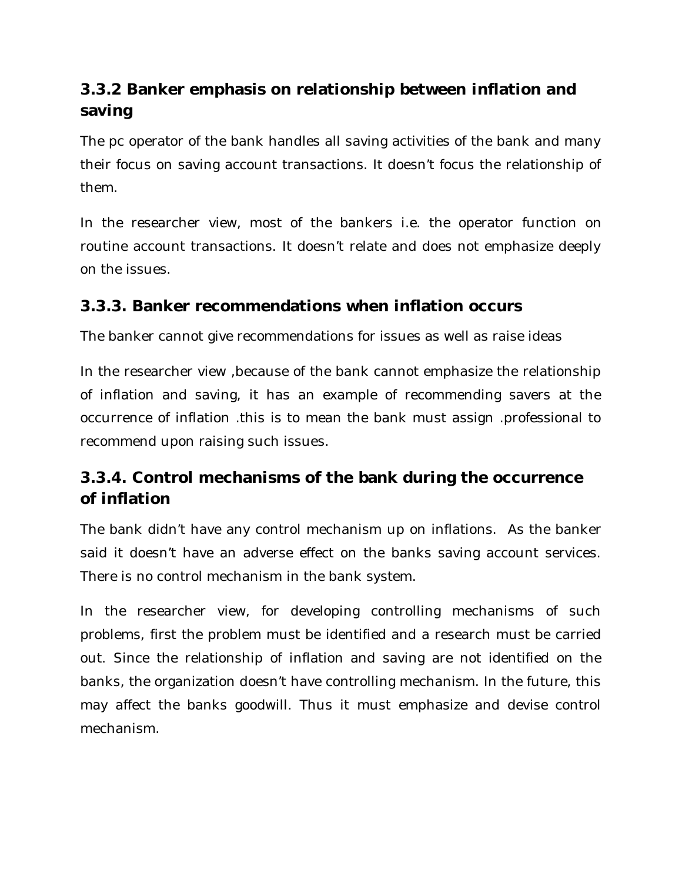## **3.3.2 Banker emphasis on relationship between inflation and saving**

The pc operator of the bank handles all saving activities of the bank and many their focus on saving account transactions. It doesn't focus the relationship of them.

In the researcher view, most of the bankers i.e. the operator function on routine account transactions. It doesn't relate and does not emphasize deeply on the issues.

### **3.3.3. Banker recommendations when inflation occurs**

The banker cannot give recommendations for issues as well as raise ideas

In the researcher view ,because of the bank cannot emphasize the relationship of inflation and saving, it has an example of recommending savers at the occurrence of inflation .this is to mean the bank must assign .professional to recommend upon raising such issues.

## **3.3.4. Control mechanisms of the bank during the occurrence of inflation**

The bank didn't have any control mechanism up on inflations. As the banker said it doesn't have an adverse effect on the banks saving account services. There is no control mechanism in the bank system.

In the researcher view, for developing controlling mechanisms of such problems, first the problem must be identified and a research must be carried out. Since the relationship of inflation and saving are not identified on the banks, the organization doesn't have controlling mechanism. In the future, this may affect the banks goodwill. Thus it must emphasize and devise control mechanism.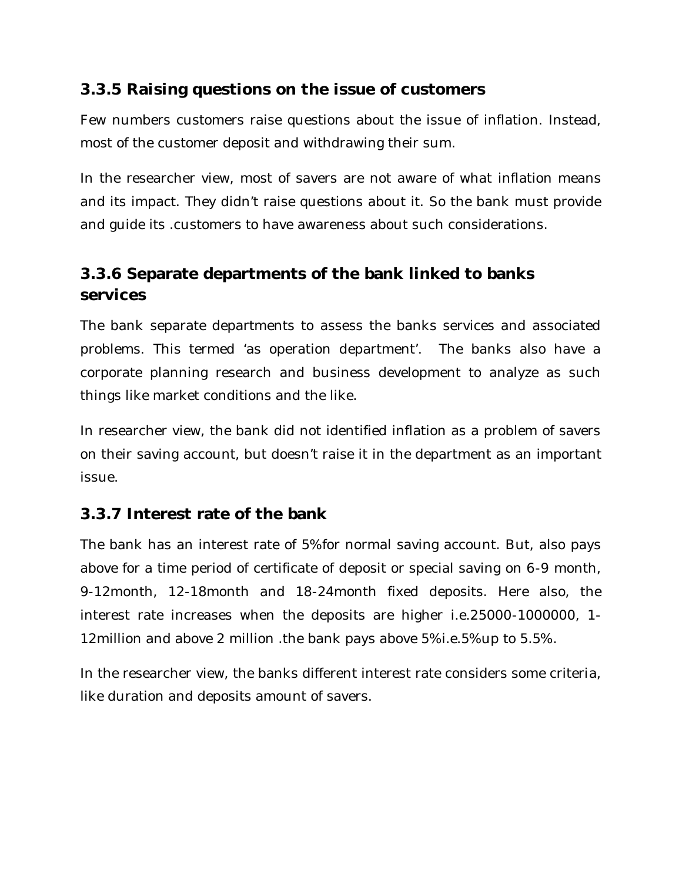### **3.3.5 Raising questions on the issue of customers**

Few numbers customers raise questions about the issue of inflation. Instead, most of the customer deposit and withdrawing their sum.

In the researcher view, most of savers are not aware of what inflation means and its impact. They didn't raise questions about it. So the bank must provide and guide its .customers to have awareness about such considerations.

### **3.3.6 Separate departments of the bank linked to banks services**

The bank separate departments to assess the banks services and associated problems. This termed 'as operation department'. The banks also have a corporate planning research and business development to analyze as such things like market conditions and the like.

In researcher view, the bank did not identified inflation as a problem of savers on their saving account, but doesn't raise it in the department as an important issue.

### **3.3.7 Interest rate of the bank**

The bank has an interest rate of 5%for normal saving account. But, also pays above for a time period of certificate of deposit or special saving on 6-9 month, 9-12month, 12-18month and 18-24month fixed deposits. Here also, the interest rate increases when the deposits are higher i.e.25000-1000000, 1- 12million and above 2 million .the bank pays above 5%i.e.5%up to 5.5%.

In the researcher view, the banks different interest rate considers some criteria, like duration and deposits amount of savers.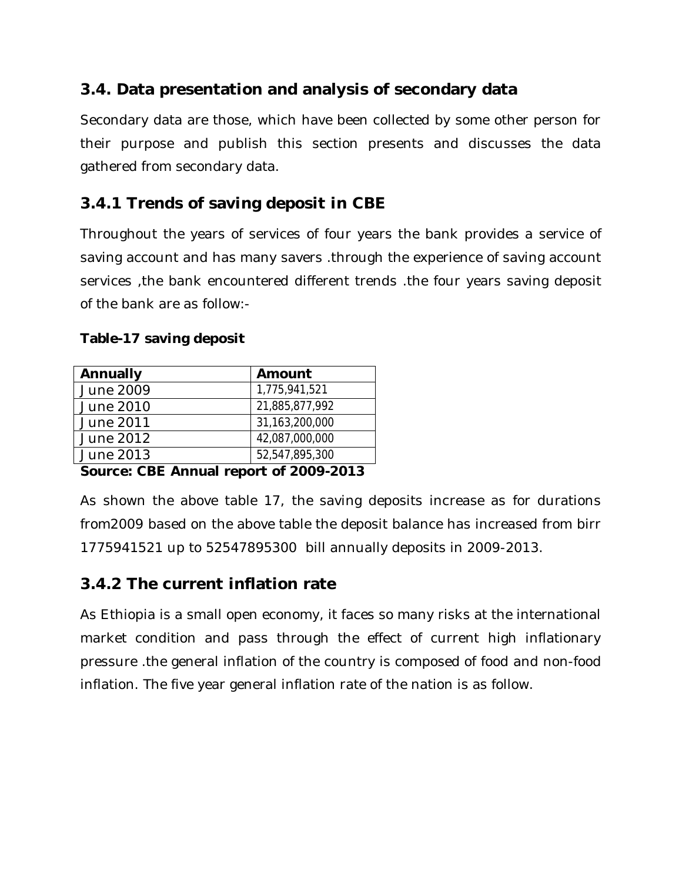### **3.4. Data presentation and analysis of secondary data**

Secondary data are those, which have been collected by some other person for their purpose and publish this section presents and discusses the data gathered from secondary data.

## **3.4.1 Trends of saving deposit in CBE**

Throughout the years of services of four years the bank provides a service of saving account and has many savers .through the experience of saving account services ,the bank encountered different trends .the four years saving deposit of the bank are as follow:-

| Annually  | Amount         |
|-----------|----------------|
| June 2009 | 1,775,941,521  |
| June 2010 | 21,885,877,992 |
| June 2011 | 31,163,200,000 |
| June 2012 | 42,087,000,000 |
| June 2013 | 52,547,895,300 |

#### **Table-17 saving deposit**

#### **Source: CBE Annual report of 2009-2013**

As shown the above table 17, the saving deposits increase as for durations from2009 based on the above table the deposit balance has increased from birr 1775941521 up to 52547895300 bill annually deposits in 2009-2013.

### **3.4.2 The current inflation rate**

As Ethiopia is a small open economy, it faces so many risks at the international market condition and pass through the effect of current high inflationary pressure .the general inflation of the country is composed of food and non-food inflation. The five year general inflation rate of the nation is as follow.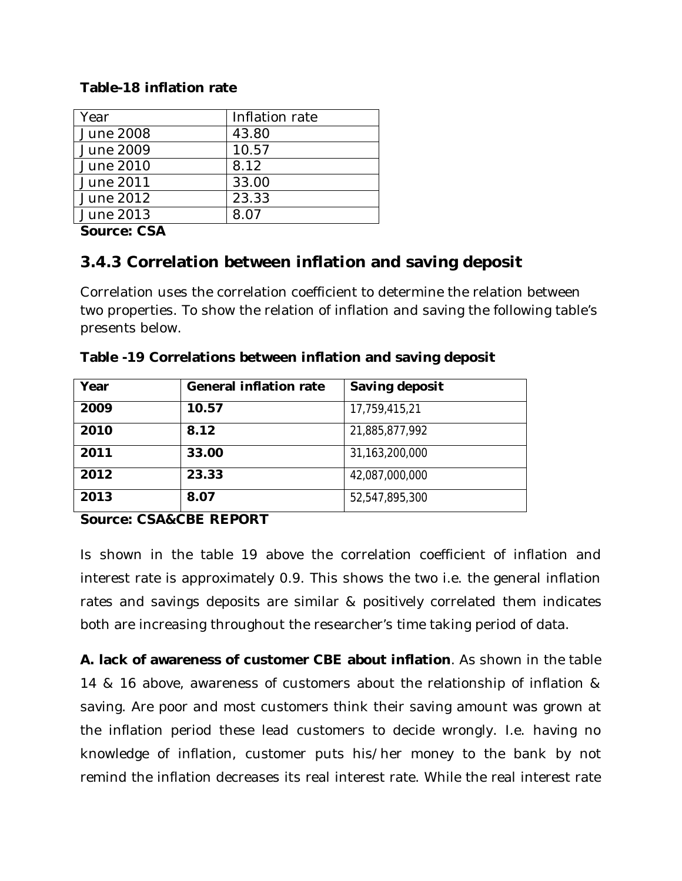#### **Table-18 inflation rate**

| Year             | Inflation rate |
|------------------|----------------|
| <b>June 2008</b> | 43.80          |
| June 2009        | 10.57          |
| June 2010        | 8.12           |
| June 2011        | 33.00          |
| June 2012        | 23.33          |
| June 2013        | 8 N 7          |

**Source: CSA**

### **3.4.3 Correlation between inflation and saving deposit**

Correlation uses the correlation coefficient to determine the relation between two properties. To show the relation of inflation and saving the following table's presents below.

| Year | <b>General inflation rate</b> | Saving deposit |
|------|-------------------------------|----------------|
| 2009 | 10.57                         | 17,759,415,21  |
| 2010 | 8.12                          | 21,885,877,992 |
| 2011 | 33.00                         | 31,163,200,000 |
| 2012 | 23.33                         | 42,087,000,000 |
| 2013 | 8.07                          | 52,547,895,300 |

**Table -19 Correlations between inflation and saving deposit**

#### **Source: CSA&CBE REPORT**

Is shown in the table 19 above the correlation coefficient of inflation and interest rate is approximately 0.9. This shows the two i.e. the general inflation rates and savings deposits are similar & positively correlated them indicates both are increasing throughout the researcher's time taking period of data.

**A. lack of awareness of customer CBE about inflation**. As shown in the table 14 & 16 above, awareness of customers about the relationship of inflation & saving. Are poor and most customers think their saving amount was grown at the inflation period these lead customers to decide wrongly. I.e. having no knowledge of inflation, customer puts his/her money to the bank by not remind the inflation decreases its real interest rate. While the real interest rate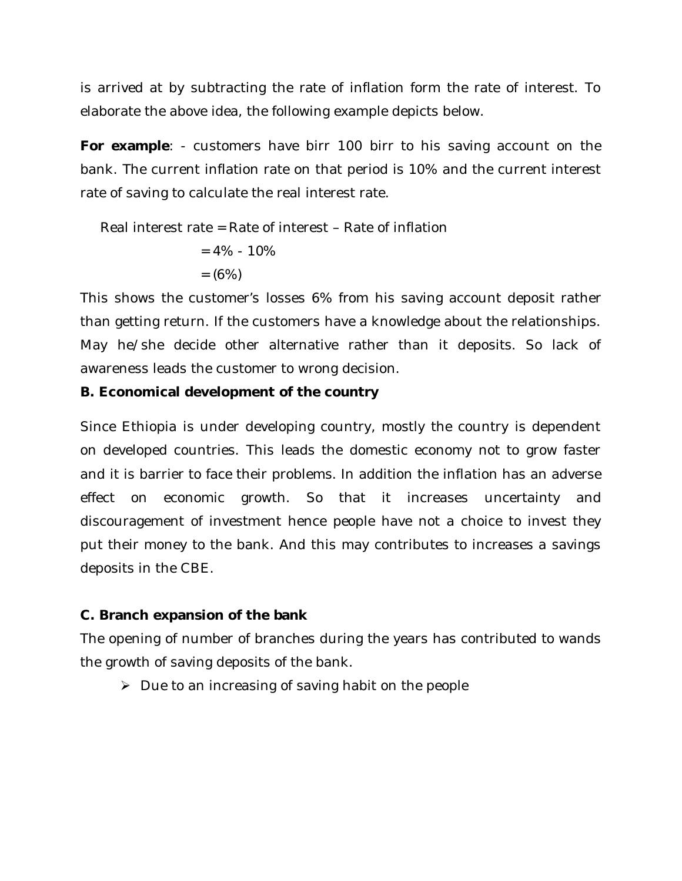is arrived at by subtracting the rate of inflation form the rate of interest. To elaborate the above idea, the following example depicts below.

**For example**: - customers have birr 100 birr to his saving account on the bank. The current inflation rate on that period is 10% and the current interest rate of saving to calculate the real interest rate.

Real interest rate = Rate of interest – Rate of inflation

$$
= 4\% - 10\%
$$

$$
= (6\%)
$$

This shows the customer's losses 6% from his saving account deposit rather than getting return. If the customers have a knowledge about the relationships. May he/she decide other alternative rather than it deposits. So lack of awareness leads the customer to wrong decision.

#### **B. Economical development of the country**

Since Ethiopia is under developing country, mostly the country is dependent on developed countries. This leads the domestic economy not to grow faster and it is barrier to face their problems. In addition the inflation has an adverse effect on economic growth. So that it increases uncertainty and discouragement of investment hence people have not a choice to invest they put their money to the bank. And this may contributes to increases a savings deposits in the CBE.

### **C. Branch expansion of the bank**

The opening of number of branches during the years has contributed to wands the growth of saving deposits of the bank.

 $\triangleright$  Due to an increasing of saving habit on the people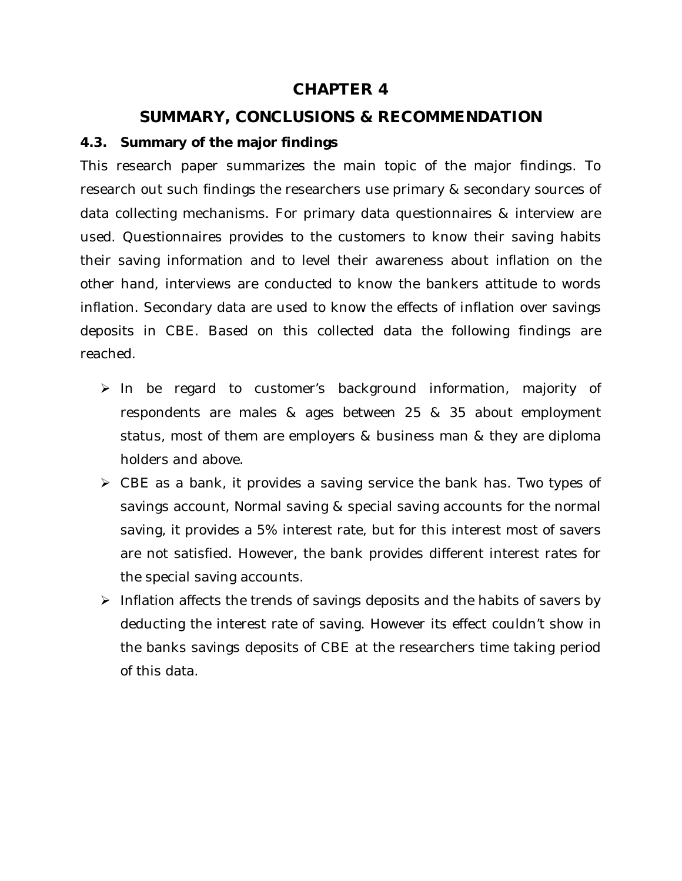### **CHAPTER 4**

### **SUMMARY, CONCLUSIONS & RECOMMENDATION**

### **4.3. Summary of the major findings**

This research paper summarizes the main topic of the major findings. To research out such findings the researchers use primary & secondary sources of data collecting mechanisms. For primary data questionnaires & interview are used. Questionnaires provides to the customers to know their saving habits their saving information and to level their awareness about inflation on the other hand, interviews are conducted to know the bankers attitude to words inflation. Secondary data are used to know the effects of inflation over savings deposits in CBE. Based on this collected data the following findings are reached.

- In be regard to customer's background information, majority of respondents are males & ages between 25 & 35 about employment status, most of them are employers & business man & they are diploma holders and above.
- $\triangleright$  CBE as a bank, it provides a saving service the bank has. Two types of savings account, Normal saving & special saving accounts for the normal saving, it provides a 5% interest rate, but for this interest most of savers are not satisfied. However, the bank provides different interest rates for the special saving accounts.
- $\triangleright$  Inflation affects the trends of savings deposits and the habits of savers by deducting the interest rate of saving. However its effect couldn't show in the banks savings deposits of CBE at the researchers time taking period of this data.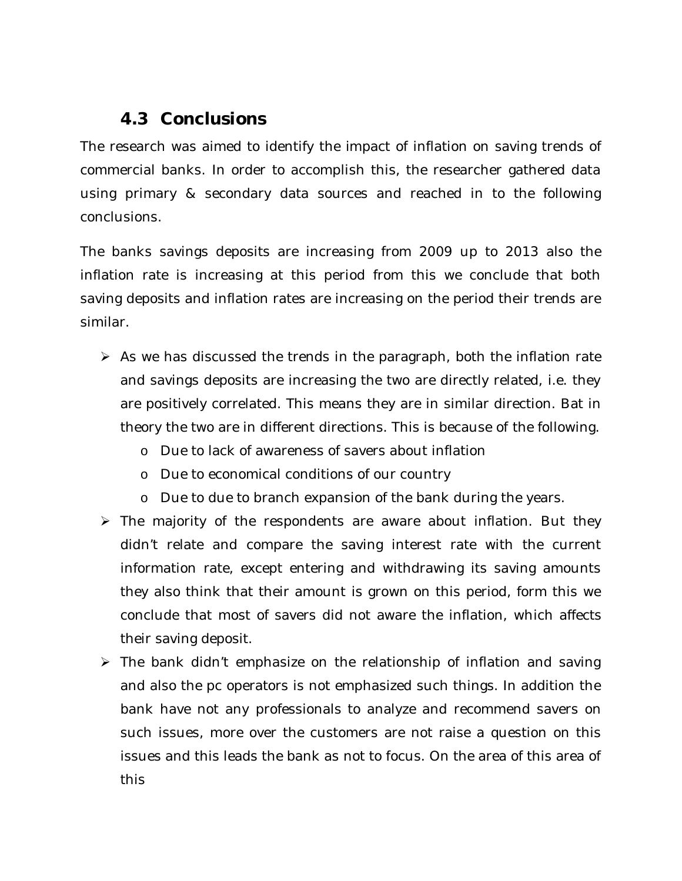### **4.3 Conclusions**

The research was aimed to identify the impact of inflation on saving trends of commercial banks. In order to accomplish this, the researcher gathered data using primary & secondary data sources and reached in to the following conclusions.

The banks savings deposits are increasing from 2009 up to 2013 also the inflation rate is increasing at this period from this we conclude that both saving deposits and inflation rates are increasing on the period their trends are similar.

- $\triangleright$  As we has discussed the trends in the paragraph, both the inflation rate and savings deposits are increasing the two are directly related, i.e. they are positively correlated. This means they are in similar direction. Bat in theory the two are in different directions. This is because of the following.
	- o Due to lack of awareness of savers about inflation
	- o Due to economical conditions of our country
	- o Due to due to branch expansion of the bank during the years.
- $\triangleright$  The majority of the respondents are aware about inflation. But they didn't relate and compare the saving interest rate with the current information rate, except entering and withdrawing its saving amounts they also think that their amount is grown on this period, form this we conclude that most of savers did not aware the inflation, which affects their saving deposit.
- $\triangleright$  The bank didn't emphasize on the relationship of inflation and saving and also the pc operators is not emphasized such things. In addition the bank have not any professionals to analyze and recommend savers on such issues, more over the customers are not raise a question on this issues and this leads the bank as not to focus. On the area of this area of this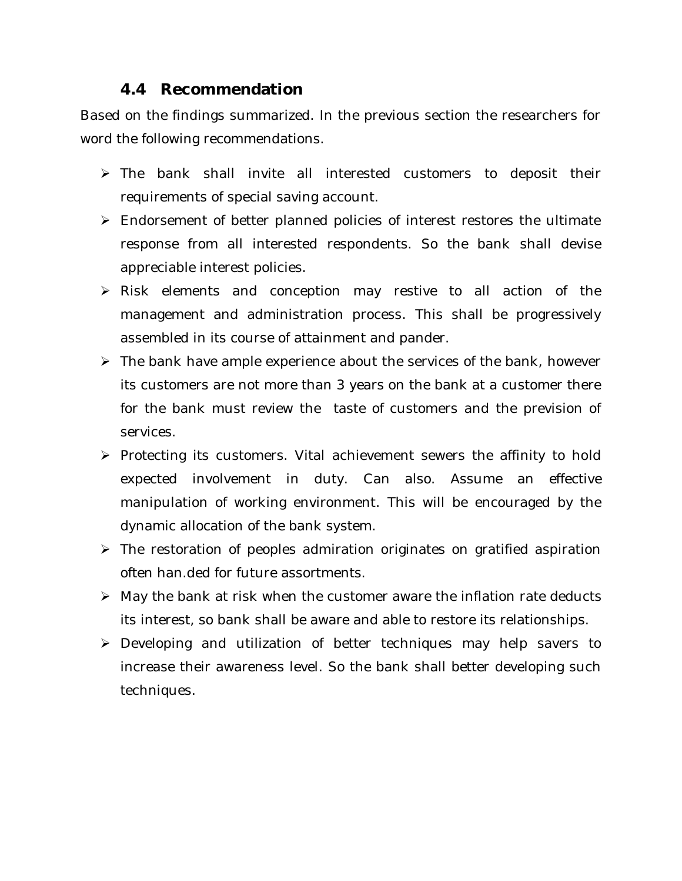### **4.4 Recommendation**

Based on the findings summarized. In the previous section the researchers for word the following recommendations.

- > The bank shall invite all interested customers to deposit their requirements of special saving account.
- Endorsement of better planned policies of interest restores the ultimate response from all interested respondents. So the bank shall devise appreciable interest policies.
- Risk elements and conception may restive to all action of the management and administration process. This shall be progressively assembled in its course of attainment and pander.
- $\triangleright$  The bank have ample experience about the services of the bank, however its customers are not more than 3 years on the bank at a customer there for the bank must review the taste of customers and the prevision of services.
- $\triangleright$  Protecting its customers. Vital achievement sewers the affinity to hold expected involvement in duty. Can also. Assume an effective manipulation of working environment. This will be encouraged by the dynamic allocation of the bank system.
- $\triangleright$  The restoration of peoples admiration originates on gratified aspiration often han.ded for future assortments.
- $\triangleright$  May the bank at risk when the customer aware the inflation rate deducts its interest, so bank shall be aware and able to restore its relationships.
- Developing and utilization of better techniques may help savers to increase their awareness level. So the bank shall better developing such techniques.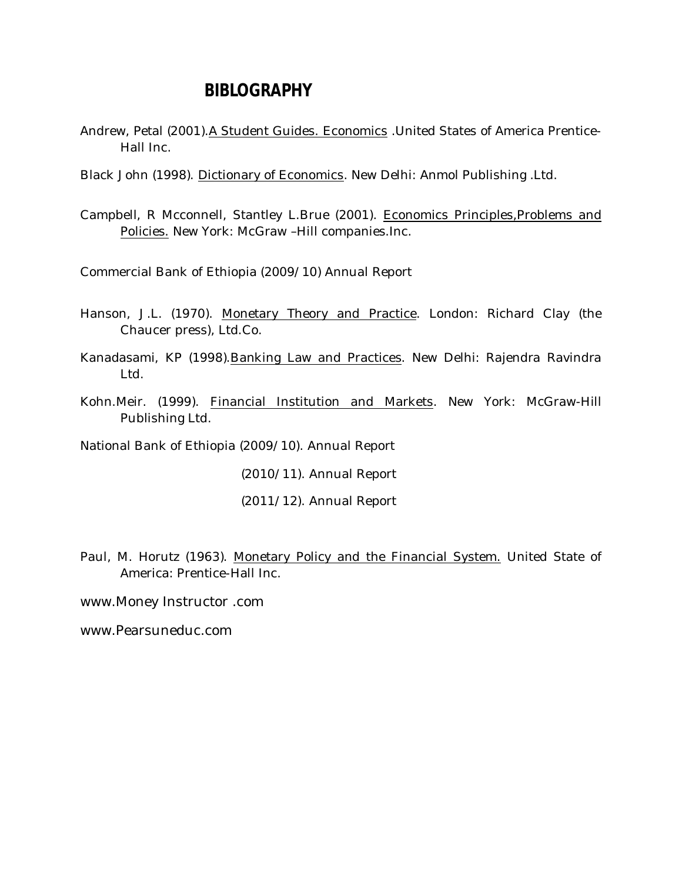### **BIBLOGRAPHY**

- Andrew, Petal (2001). A Student Guides. Economics . United States of America Prentice-Hall Inc.
- Black John (1998). Dictionary of Economics. New Delhi: Anmol Publishing .Ltd.
- Campbell, R Mcconnell, Stantley L.Brue (2001). Economics Principles,Problems and Policies. New York: McGraw –Hill companies.Inc.

Commercial Bank of Ethiopia (2009/10) Annual Report

- Hanson, J.L. (1970). Monetary Theory and Practice. London: Richard Clay (the Chaucer press), Ltd.Co.
- Kanadasami, KP (1998).Banking Law and Practices. New Delhi: Rajendra Ravindra Ltd.
- Kohn.Meir. (1999). Financial Institution and Markets. New York: McGraw-Hill Publishing Ltd.

National Bank of Ethiopia (2009/10). Annual Report

(2010/11). Annual Report

(2011/12). Annual Report

Paul, M. Horutz (1963). Monetary Policy and the Financial System. United State of America: Prentice-Hall Inc.

www.Money Instructor .com

www.Pearsuneduc.com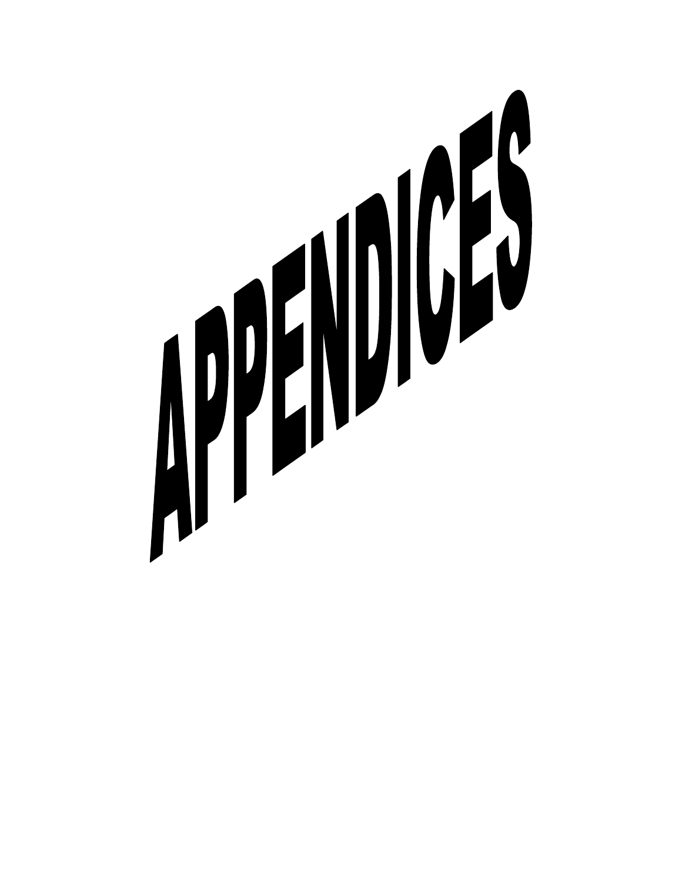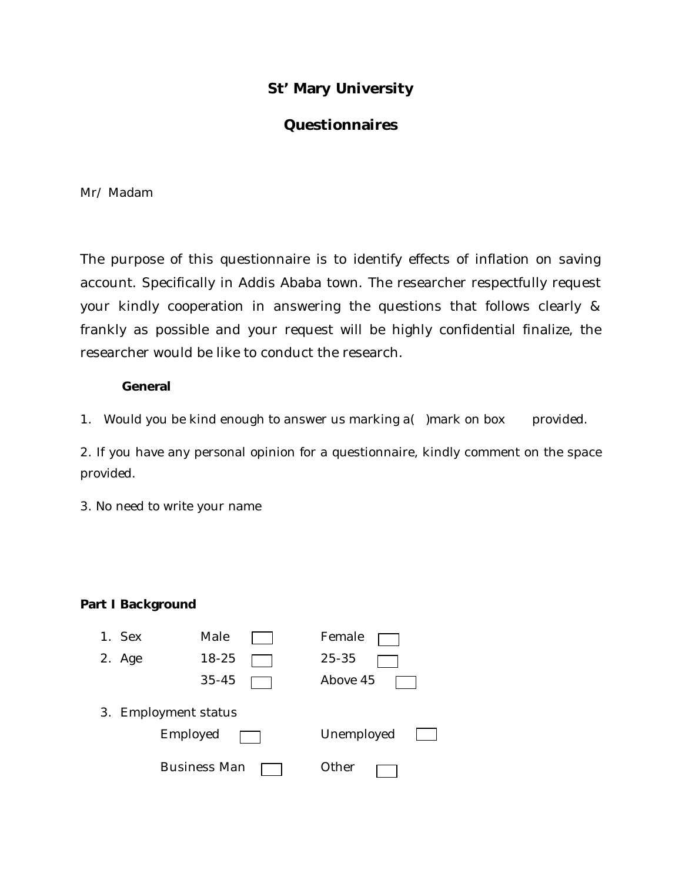### **St' Mary University**

### **Questionnaires**

Mr/ Madam

The purpose of this questionnaire is to identify effects of inflation on saving account. Specifically in Addis Ababa town. The researcher respectfully request your kindly cooperation in answering the questions that follows clearly & frankly as possible and your request will be highly confidential finalize, the researcher would be like to conduct the research.

#### **General**

1. Would you be kind enough to answer us marking a( ) mark on box provided.

2. If you have any personal opinion for a questionnaire, kindly comment on the space provided.

3. No need to write your name

#### **Part I Background**

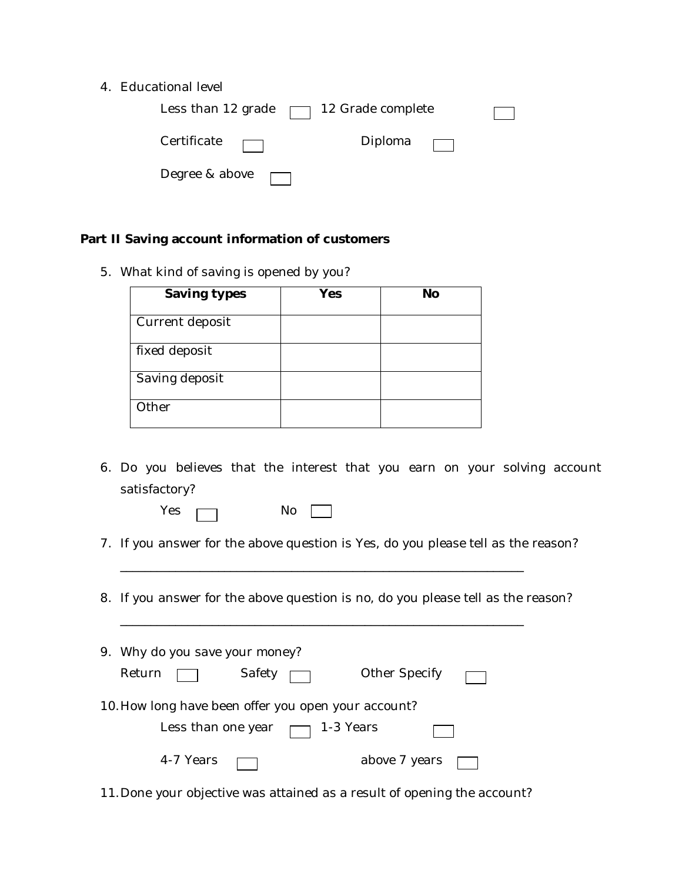4. Educational level

| Less than 12 grade $\Box$ 12 Grade complete |         |  |
|---------------------------------------------|---------|--|
| Certificate                                 | Diploma |  |
| Degree & above                              |         |  |

#### **Part II Saving account information of customers**

5. What kind of saving is opened by you?

| Saving types    | Yes | <b>No</b> |
|-----------------|-----|-----------|
| Current deposit |     |           |
| fixed deposit   |     |           |
| Saving deposit  |     |           |
| Other           |     |           |

- 6. Do you believes that the interest that you earn on your solving account satisfactory?
	- $Yes \frown$  No  $\Box$
- 7. If you answer for the above question is Yes, do you please tell as the reason?
- 8. If you answer for the above question is no, do you please tell as the reason?

\_\_\_\_\_\_\_\_\_\_\_\_\_\_\_\_\_\_\_\_\_\_\_\_\_\_\_\_\_\_\_\_\_\_\_\_\_\_\_\_\_\_\_\_\_\_\_\_\_\_\_\_\_\_\_\_\_\_\_\_\_\_\_\_\_\_

\_\_\_\_\_\_\_\_\_\_\_\_\_\_\_\_\_\_\_\_\_\_\_\_\_\_\_\_\_\_\_\_\_\_\_\_\_\_\_\_\_\_\_\_\_\_\_\_\_\_\_\_\_\_\_\_\_\_\_\_\_\_\_\_\_\_

| 9. Why do you save your money?                      |        |           |        |                      |  |
|-----------------------------------------------------|--------|-----------|--------|----------------------|--|
|                                                     | Return |           | Safety | <b>Other Specify</b> |  |
| 10. How long have been offer you open your account? |        |           |        |                      |  |
| Less than one year $\Box$ 1-3 Years                 |        |           |        |                      |  |
|                                                     |        | 4-7 Years |        | above 7 years        |  |

11.Done your objective was attained as a result of opening the account?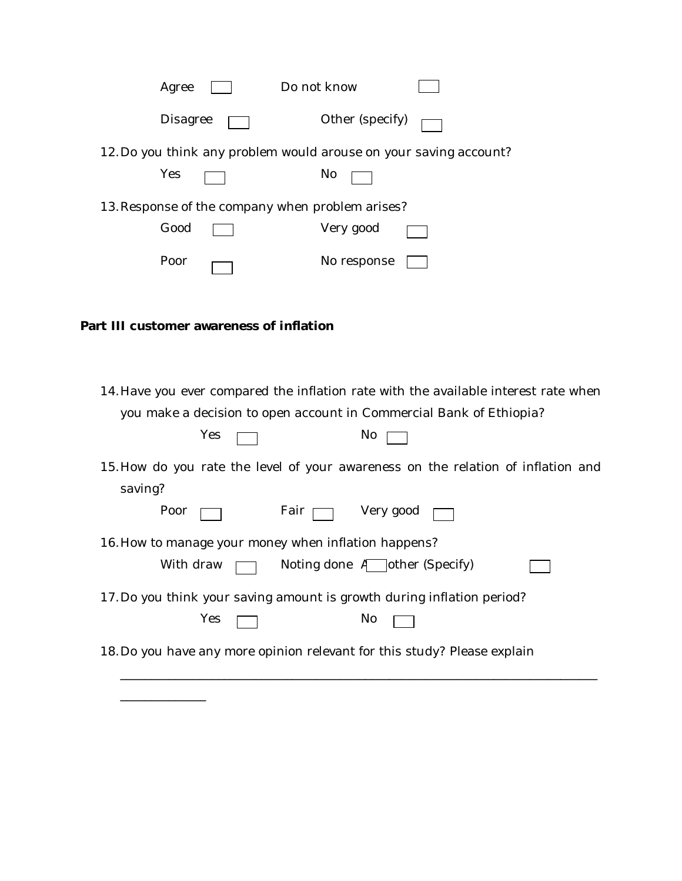| Do not know<br>Agree                                                                                                                                                    |
|-------------------------------------------------------------------------------------------------------------------------------------------------------------------------|
| Other (specify)<br><b>Disagree</b>                                                                                                                                      |
| 12. Do you think any problem would arouse on your saving account?                                                                                                       |
| Yes<br>No                                                                                                                                                               |
| 13. Response of the company when problem arises?                                                                                                                        |
| Good<br>Very good                                                                                                                                                       |
| No response<br>Poor                                                                                                                                                     |
|                                                                                                                                                                         |
| Part III customer awareness of inflation                                                                                                                                |
|                                                                                                                                                                         |
| 14. Have you ever compared the inflation rate with the available interest rate when<br>you make a decision to open account in Commercial Bank of Ethiopia?<br>Yes<br>No |
| 15. How do you rate the level of your awareness on the relation of inflation and<br>saving?                                                                             |
| Very good<br>Poor<br>Fair <sub>I</sub>                                                                                                                                  |
| 16. How to manage your money when inflation happens?                                                                                                                    |
| With draw<br>Noting done $\overline{A}$ other (Specify)                                                                                                                 |
| 17. Do you think your saving amount is growth during inflation period?                                                                                                  |
| Yes<br>No                                                                                                                                                               |
| 18. Do you have any more opinion relevant for this study? Please explain                                                                                                |
|                                                                                                                                                                         |

\_\_\_\_\_\_\_\_\_\_\_\_\_\_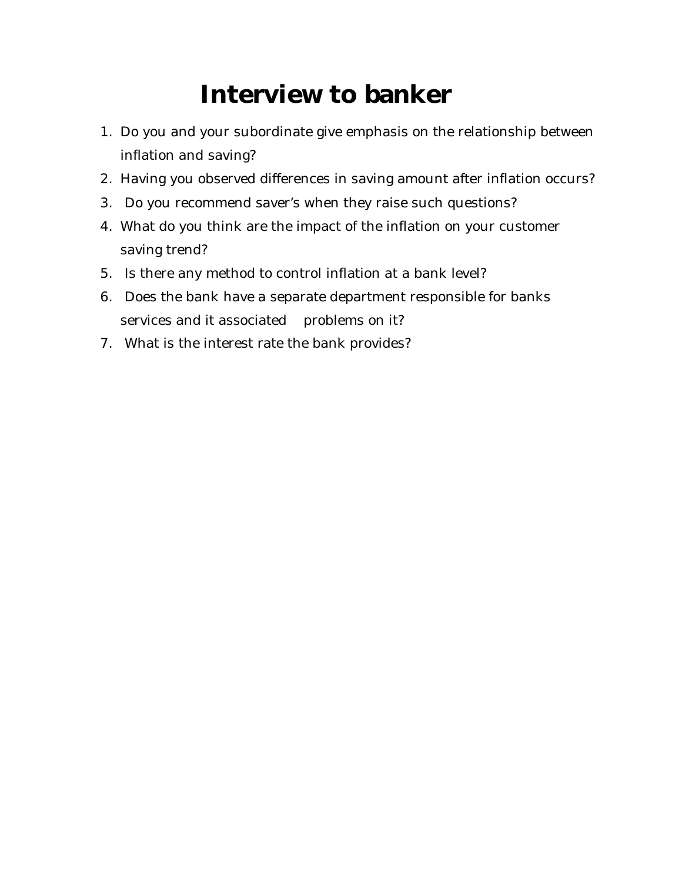# **Interview to banker**

- 1. Do you and your subordinate give emphasis on the relationship between inflation and saving?
- 2. Having you observed differences in saving amount after inflation occurs?
- 3. Do you recommend saver's when they raise such questions?
- 4. What do you think are the impact of the inflation on your customer saving trend?
- 5. Is there any method to control inflation at a bank level?
- 6. Does the bank have a separate department responsible for banks services and it associated problems on it?
- 7. What is the interest rate the bank provides?